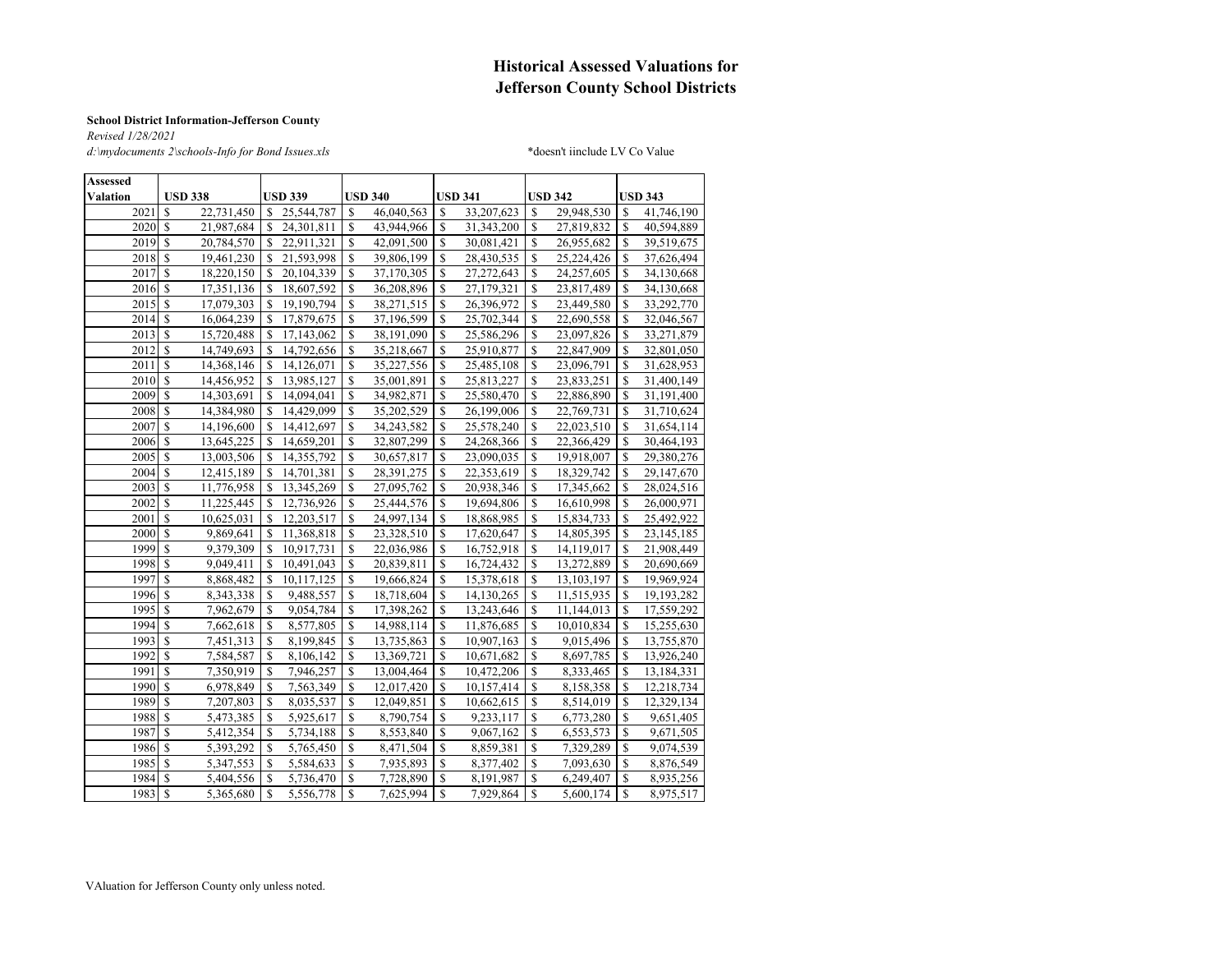#### **Historical Assessed Valuations for Jefferson County School Districts**

#### **School District Information-Jefferson County**

*Revised 1/28/2021 d:\mydocuments 2\schools-Info for Bond Issues.xls* \*doesn't iinclude LV Co Value

| <b>Assessed</b> |                                      |                           |               |                |               |                |               |                |               |                |  |  |
|-----------------|--------------------------------------|---------------------------|---------------|----------------|---------------|----------------|---------------|----------------|---------------|----------------|--|--|
| <b>Valation</b> | <b>USD 338</b>                       | <b>USD 339</b>            |               | <b>USD 340</b> |               | <b>USD 341</b> |               | <b>USD 342</b> |               | <b>USD 343</b> |  |  |
| 2021            | S<br>22,731,450                      | \$.<br>25,544,787         | \$.           | 46,040,563     | <b>S</b>      | 33,207,623     | S             | 29,948,530     | \$.           | 41,746,190     |  |  |
| 2020            | \$<br>21,987,684                     | S<br>24,301,811           | \$            | 43,944,966     | S             | 31, 343, 200   | \$            | 27,819,832     | S             | 40,594,889     |  |  |
| 2019            | <sup>S</sup><br>20,784,570           | \$<br>22,911,321          | \$            | 42,091,500     | S             | 30,081,421     | S             | 26,955,682     | S             | 39,519,675     |  |  |
| 2018            | <sup>\$</sup><br>19,461,230          | S<br>21,593,998           | <sup>\$</sup> | 39,806,199     | S             | 28,430,535     | S             | 25,224,426     | S             | 37,626,494     |  |  |
| 2017            | $\mathbf S$<br>18,220,150            | \$<br>20,104,339          | \$            | 37,170,305     | \$            | 27,272,643     | \$            | 24,257,605     | S             | 34,130,668     |  |  |
| 2016            | $\mathcal{S}$<br>17,351,136          | \$<br>18,607,592          | \$            | 36,208,896     | \$            | 27,179,321     | \$            | 23,817,489     | S             | 34,130,668     |  |  |
| 2015            | $\mathbb{S}$<br>17,079,303           | S<br>19,190,794           | \$            | 38,271,515     | \$            | 26,396,972     | \$            | 23,449,580     | <sup>\$</sup> | 33,292,770     |  |  |
| 2014            | <sup>\$</sup><br>16,064,239          | 17,879,675<br>S           | \$            | 37,196,599     | \$            | 25,702,344     | \$            | 22,690,558     | <sup>\$</sup> | 32,046,567     |  |  |
| 2013            | $\mathcal{S}$<br>15,720,488          | S<br>17,143,062           | \$            | 38,191,090     | S             | 25,586,296     | \$            | 23,097,826     | S             | 33,271,879     |  |  |
| 2012            | <sup>\$</sup><br>14,749,693          | S<br>14,792,656           | <sup>\$</sup> | 35,218,667     | <sup>\$</sup> | 25,910,877     | <sup>\$</sup> | 22,847,909     | <sup>\$</sup> | 32,801,050     |  |  |
| 2011            | <sup>S</sup><br>14,368,146           | S<br>14,126,071           | \$            | 35,227,556     | S             | 25,485,108     | \$            | 23,096,791     | <sup>\$</sup> | 31,628,953     |  |  |
| 2010            | <sup>\$</sup><br>14,456,952          | S<br>13,985,127           | $\mathbf S$   | 35,001,891     | <sup>\$</sup> | 25,813,227     | \$            | 23,833,251     | <sup>\$</sup> | 31,400,149     |  |  |
| 2009            | $\mathbf S$<br>14,303,691            | $\mathbf S$<br>14,094,041 | $\mathbf S$   | 34,982,871     | S             | 25,580,470     | \$            | 22,886,890     | <sup>\$</sup> | 31,191,400     |  |  |
| 2008            | \$<br>14,384,980                     | S<br>14,429,099           | \$            | 35,202,529     | \$            | 26,199,006     | \$            | 22,769,731     | S             | 31,710,624     |  |  |
| 2007            | <sup>\$</sup><br>14,196,600          | \$<br>14,412,697          | \$            | 34,243,582     | \$            | 25,578,240     | \$            | 22,023,510     | S             | 31,654,114     |  |  |
| 2006            | <sup>\$</sup><br>13,645,225          | S<br>14,659,201           | <sup>\$</sup> | 32,807,299     | \$            | 24,268,366     | \$            | 22,366,429     | <sup>\$</sup> | 30,464,193     |  |  |
| 2005            | $\mathbf S$<br>13,003,506            | \$<br>14,355,792          | S             | 30,657,817     | S             | 23,090,035     | \$            | 19,918,007     | \$            | 29,380,276     |  |  |
| 2004            | <sup>S</sup><br>12,415,189           | \$<br>14,701,381          | S             | 28,391,275     | S             | 22,353,619     | <sup>\$</sup> | 18,329,742     | \$            | 29,147,670     |  |  |
| 2003            | \$<br>11,776,958                     | S<br>13,345,269           | S             | 27,095,762     | <sup>\$</sup> | 20,938,346     | <sup>\$</sup> | 17,345,662     | <sup>\$</sup> | 28,024,516     |  |  |
| 2002            | <sup>S</sup><br>11,225,445           | S<br>12,736,926           | \$            | 25,444,576     | S             | 19,694,806     | S             | 16,610,998     | S             | 26,000,971     |  |  |
| 2001            | <sup>\$</sup><br>10,625,031          | \$<br>12,203,517          | \$            | 24,997,134     | S             | 18,868,985     | \$            | 15,834,733     | S             | 25,492,922     |  |  |
| 2000            | $\mathcal{S}$<br>9,869,641           | S<br>11,368,818           | <sup>\$</sup> | 23,328,510     | <sup>S</sup>  | 17,620,647     | <sup>\$</sup> | 14,805,395     | <sup>\$</sup> | 23,145,185     |  |  |
| 1999            | $\overline{\mathbf{s}}$<br>9,379,309 | \$<br>10,917,731          | \$            | 22,036,986     | S             | 16,752,918     | \$            | 14,119,017     | S             | 21,908,449     |  |  |
| 1998            | \$<br>9,049,411                      | S<br>10,491,043           | \$            | 20,839,811     | S             | 16,724,432     | \$            | 13,272,889     | <sup>\$</sup> | 20,690,669     |  |  |
| 1997            | \$<br>8,868,482                      | \$<br>10,117,125          | \$            | 19,666,824     | \$            | 15,378,618     | \$            | 13, 103, 197   | <sup>\$</sup> | 19,969,924     |  |  |
| 1996            | \$<br>8,343,338                      | \$<br>9,488,557           | \$            | 18,718,604     | \$            | 14,130,265     | \$            | 11,515,935     | <sup>\$</sup> | 19,193,282     |  |  |
| 1995            | \$<br>7,962,679                      | \$<br>9,054,784           | \$            | 17,398,262     | \$            | 13,243,646     | \$            | 11,144,013     | \$            | 17,559,292     |  |  |
| 1994            | \$<br>7,662,618                      | \$<br>8,577,805           | \$            | 14,988,114     | \$            | 11,876,685     | \$            | 10,010,834     | \$            | 15,255,630     |  |  |
| 1993            | $\mathcal{S}$<br>7,451,313           | S<br>8,199,845            | \$            | 13,735,863     | \$            | 10,907,163     | \$            | 9,015,496      | <sup>S</sup>  | 13,755,870     |  |  |
| 1992            | <sup>\$</sup><br>7,584,587           | \$<br>8,106,142           | S             | 13,369,721     | $\mathbf S$   | 10,671,682     | \$            | 8,697,785      | <sup>\$</sup> | 13,926,240     |  |  |
| 1991            | <sup>\$</sup><br>7,350,919           | \$<br>7,946,257           | $\mathbf S$   | 13,004,464     | <sup>\$</sup> | 10,472,206     | \$            | 8,333,465      | S             | 13,184,331     |  |  |
| 1990            | <sup>\$</sup><br>6,978,849           | S<br>7,563,349            | \$            | 12,017,420     | S             | 10,157,414     | S             | 8,158,358      | <sup>\$</sup> | 12,218,734     |  |  |
| 1989            | <sup>\$</sup><br>7,207,803           | \$<br>8,035,537           | \$            | 12,049,851     | \$            | 10,662,615     | \$            | 8,514,019      | \$            | 12,329,134     |  |  |
| 1988            | $\mathbf S$<br>5,473,385             | \$<br>5,925,617           | \$            | 8,790,754      | S             | 9,233,117      | \$            | 6,773,280      | <sup>\$</sup> | 9,651,405      |  |  |
| 1987            | <sup>\$</sup><br>5,412,354           | \$<br>5,734,188           | \$            | 8,553,840      | S             | 9,067,162      | \$            | 6,553,573      | <sup>\$</sup> | 9,671,505      |  |  |
| 1986            | <sup>\$</sup><br>5,393,292           | \$<br>5,765,450           | $\mathbb{S}$  | 8.471.504      | S             | 8,859,381      | \$            | 7,329,289      | <sup>\$</sup> | 9,074,539      |  |  |
| 1985            | S<br>5,347,553                       | S<br>5,584,633            | S             | 7,935,893      | S             | 8,377,402      | \$            | 7,093,630      | <sup>\$</sup> | 8,876,549      |  |  |
| 1984            | S<br>5,404,556                       | S<br>5,736,470            | S             | 7,728,890      | -S            | 8,191,987      | \$            | 6,249,407      | <sup>\$</sup> | 8,935,256      |  |  |
| 1983            | $\mathcal{S}$<br>5,365,680           | \$<br>5.556.778           | <sup>\$</sup> | 7.625.994      | <sup>S</sup>  | 7.929.864      | $\mathbf S$   | 5.600.174      | <sup>\$</sup> | 8.975.517      |  |  |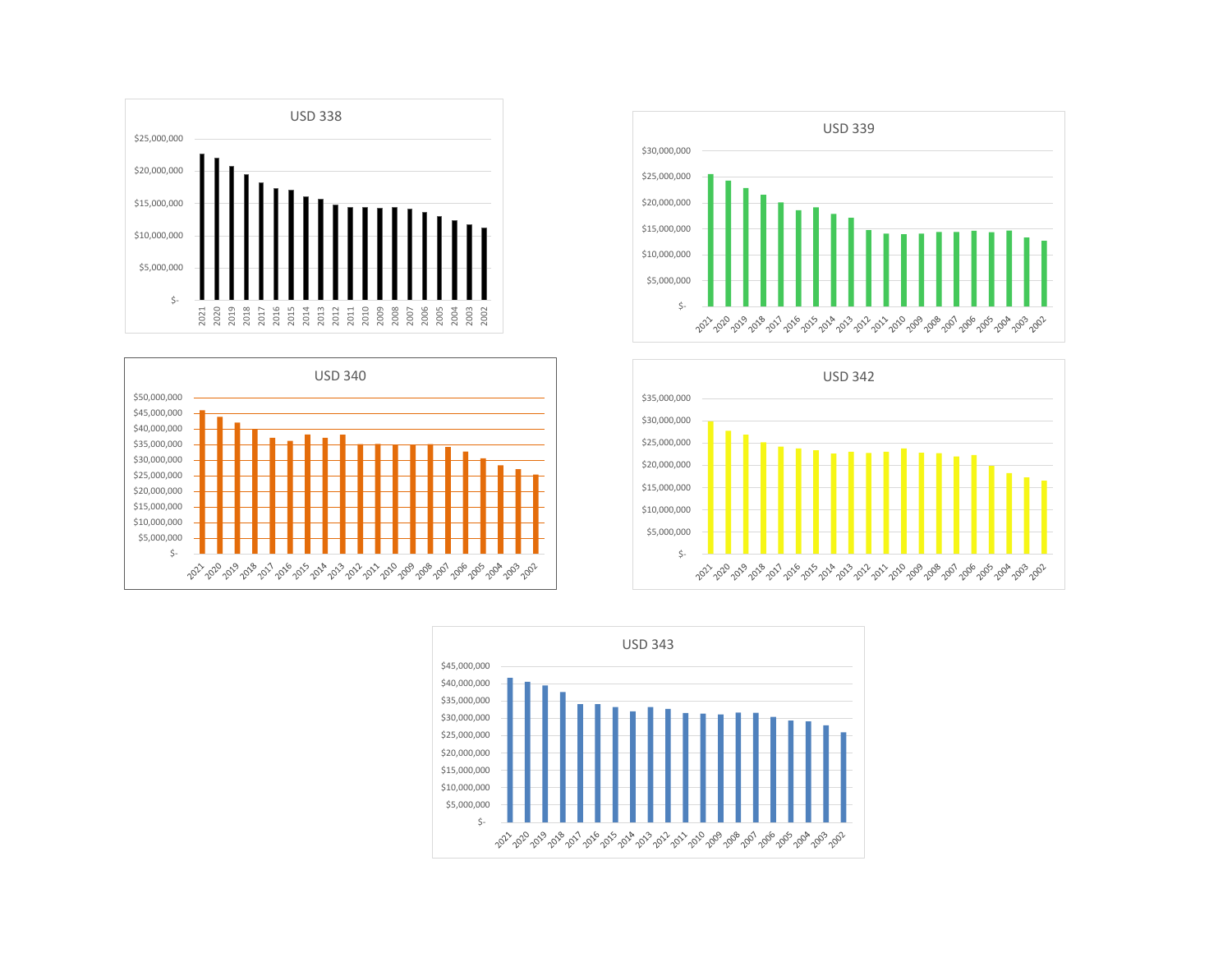







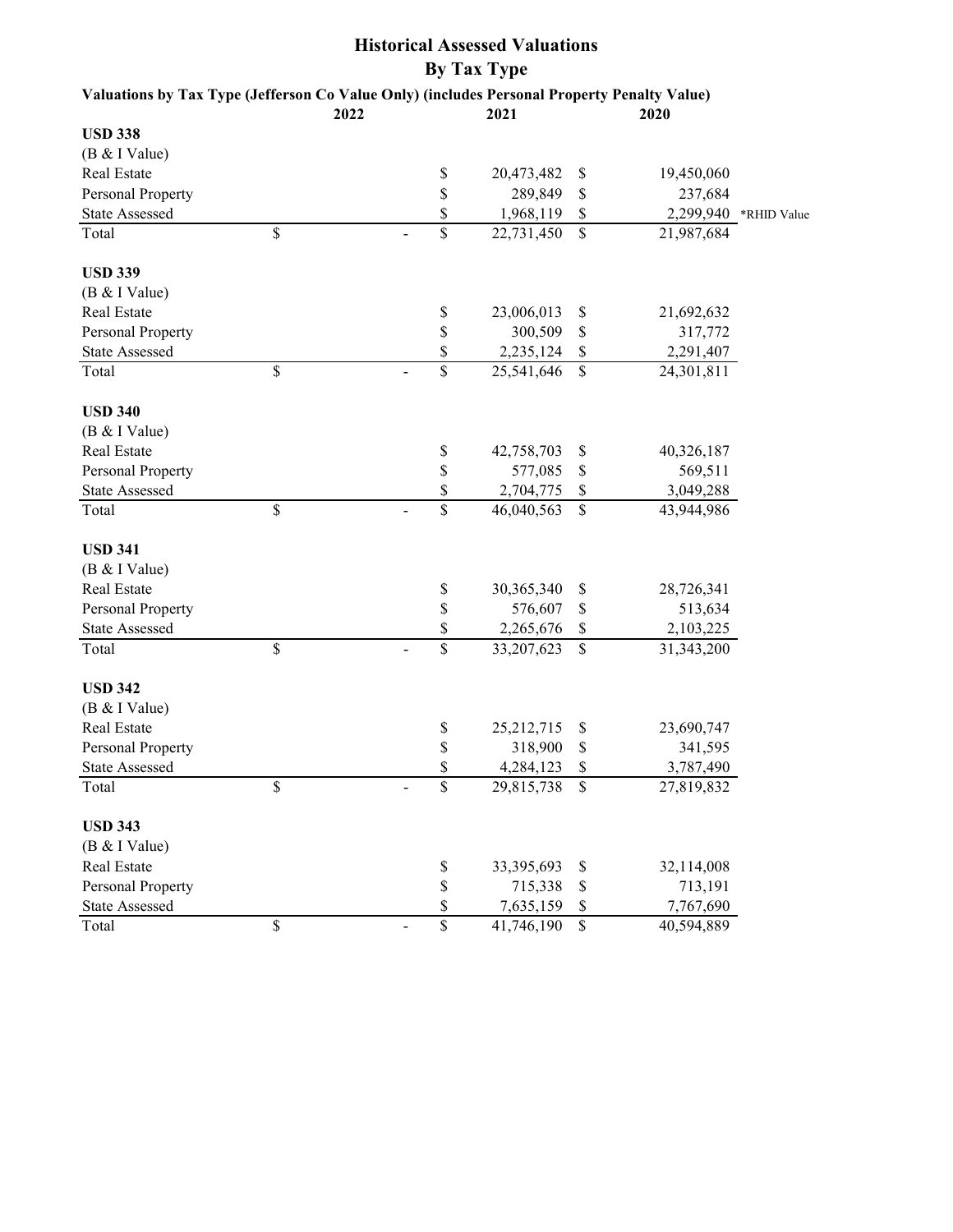| Valuations by Tax Type (Jefferson Co Value Only) (includes Personal Property Penalty Value) |                                                 |               |                  |             |
|---------------------------------------------------------------------------------------------|-------------------------------------------------|---------------|------------------|-------------|
| <b>USD 338</b>                                                                              | 2022                                            | 2021          | 2020             |             |
| (B & I Value)                                                                               |                                                 |               |                  |             |
| Real Estate                                                                                 | \$                                              | 20,473,482    | \$<br>19,450,060 |             |
| Personal Property                                                                           | \$                                              | 289,849       | \$<br>237,684    |             |
| <b>State Assessed</b>                                                                       | \$                                              | 1,968,119     | \$<br>2,299,940  | *RHID Value |
| Total                                                                                       | \$<br>\$                                        | 22,731,450    | \$<br>21,987,684 |             |
| <b>USD 339</b>                                                                              |                                                 |               |                  |             |
| (B & I Value)                                                                               |                                                 |               |                  |             |
| Real Estate                                                                                 | \$                                              | 23,006,013    | \$<br>21,692,632 |             |
| Personal Property                                                                           | \$                                              | 300,509       | \$<br>317,772    |             |
| <b>State Assessed</b>                                                                       | \$                                              | 2,235,124     | \$<br>2,291,407  |             |
| Total                                                                                       | \$<br>\$                                        | 25,541,646    | \$<br>24,301,811 |             |
| <b>USD 340</b>                                                                              |                                                 |               |                  |             |
| (B & I Value)                                                                               |                                                 |               |                  |             |
| <b>Real Estate</b>                                                                          | \$                                              | 42,758,703    | \$<br>40,326,187 |             |
| Personal Property                                                                           | \$                                              | 577,085       | \$<br>569,511    |             |
| <b>State Assessed</b>                                                                       | \$                                              | 2,704,775     | \$<br>3,049,288  |             |
| Total                                                                                       | \$<br>\$                                        | 46,040,563    | \$<br>43,944,986 |             |
| <b>USD 341</b>                                                                              |                                                 |               |                  |             |
| (B & I Value)                                                                               |                                                 |               |                  |             |
| Real Estate                                                                                 | \$                                              | 30,365,340    | \$<br>28,726,341 |             |
| Personal Property                                                                           | \$                                              | 576,607       | \$<br>513,634    |             |
| <b>State Assessed</b>                                                                       | \$                                              | 2,265,676     | \$<br>2,103,225  |             |
| Total                                                                                       | \$<br>$\overline{\mathbb{S}}$<br>$\overline{a}$ | 33,207,623    | \$<br>31,343,200 |             |
| <b>USD 342</b>                                                                              |                                                 |               |                  |             |
| (B & I Value)                                                                               |                                                 |               |                  |             |
| Real Estate                                                                                 | \$                                              | 25, 212, 715  | \$<br>23,690,747 |             |
| Personal Property                                                                           | \$                                              | 318,900       | \$<br>341,595    |             |
| <b>State Assessed</b>                                                                       | \$                                              | 4,284,123     | \$<br>3,787,490  |             |
| Total                                                                                       | \$<br>\$                                        | 29,815,738 \$ | 27,819,832       |             |
| <b>USD 343</b>                                                                              |                                                 |               |                  |             |
| (B & I Value)                                                                               |                                                 |               |                  |             |
| Real Estate                                                                                 | \$                                              | 33, 395, 693  | \$<br>32,114,008 |             |
| Personal Property                                                                           | \$                                              | 715,338       | \$<br>713,191    |             |
| <b>State Assessed</b>                                                                       | \$                                              | 7,635,159     | \$<br>7,767,690  |             |
| Total                                                                                       | \$<br>\$                                        | 41,746,190    | \$<br>40,594,889 |             |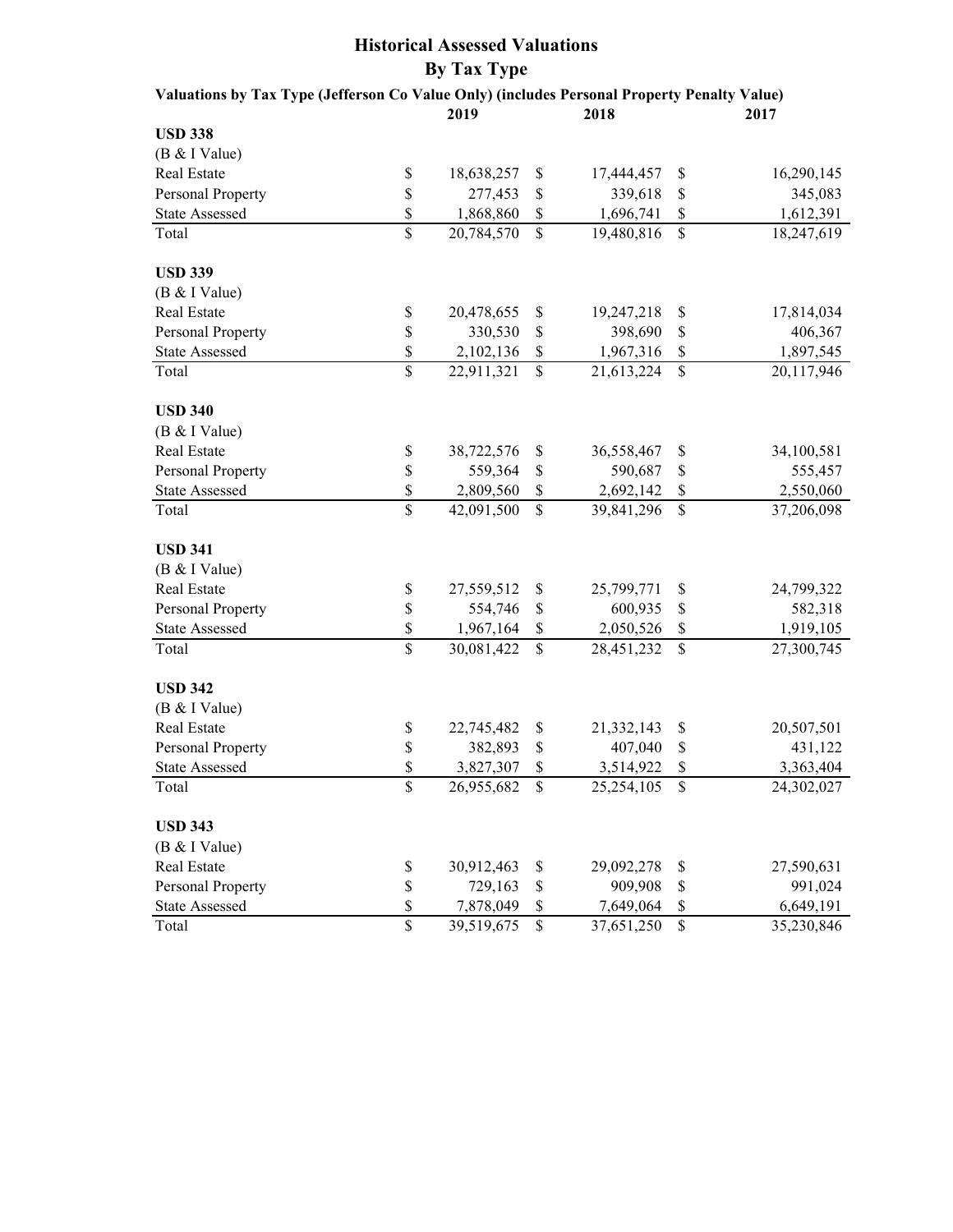| <b>By Tax Type</b>                                                                          |                          |            |              |            |                          |            |  |  |  |  |  |  |
|---------------------------------------------------------------------------------------------|--------------------------|------------|--------------|------------|--------------------------|------------|--|--|--|--|--|--|
| Valuations by Tax Type (Jefferson Co Value Only) (includes Personal Property Penalty Value) |                          |            |              |            |                          |            |  |  |  |  |  |  |
|                                                                                             |                          | 2019       |              | 2018       |                          | 2017       |  |  |  |  |  |  |
| <b>USD 338</b>                                                                              |                          |            |              |            |                          |            |  |  |  |  |  |  |
| (B & I Value)                                                                               |                          |            |              |            |                          |            |  |  |  |  |  |  |
| Real Estate                                                                                 | $\$$                     | 18,638,257 | \$           | 17,444,457 | \$                       | 16,290,145 |  |  |  |  |  |  |
| Personal Property                                                                           | \$                       | 277,453    | \$           | 339,618    | \$                       | 345,083    |  |  |  |  |  |  |
| <b>State Assessed</b>                                                                       | \$                       | 1,868,860  | \$           | 1,696,741  | \$                       | 1,612,391  |  |  |  |  |  |  |
| Total                                                                                       | $\overline{\mathcal{S}}$ | 20,784,570 | $\mathbb{S}$ | 19,480,816 | $\mathbb{S}$             | 18,247,619 |  |  |  |  |  |  |
| <b>USD 339</b>                                                                              |                          |            |              |            |                          |            |  |  |  |  |  |  |
| (B & I Value)                                                                               |                          |            |              |            |                          |            |  |  |  |  |  |  |
| Real Estate                                                                                 | \$                       | 20,478,655 | \$           | 19,247,218 | \$                       | 17,814,034 |  |  |  |  |  |  |
| Personal Property                                                                           | \$                       | 330,530    | \$           | 398,690    | \$                       | 406,367    |  |  |  |  |  |  |
| <b>State Assessed</b>                                                                       | \$                       | 2,102,136  | \$           | 1,967,316  | \$                       | 1,897,545  |  |  |  |  |  |  |
| Total                                                                                       | $\overline{\mathbb{S}}$  | 22,911,321 | $\mathbb{S}$ | 21,613,224 | $\overline{\mathcal{S}}$ | 20,117,946 |  |  |  |  |  |  |
| <b>USD 340</b>                                                                              |                          |            |              |            |                          |            |  |  |  |  |  |  |
| (B & I Value)                                                                               |                          |            |              |            |                          |            |  |  |  |  |  |  |
| Real Estate                                                                                 | \$                       | 38,722,576 | \$           | 36,558,467 | \$                       | 34,100,581 |  |  |  |  |  |  |
| <b>Personal Property</b>                                                                    | \$                       | 559,364    | \$           | 590,687    | \$                       | 555,457    |  |  |  |  |  |  |
| <b>State Assessed</b>                                                                       | \$                       | 2,809,560  | \$           | 2,692,142  | \$                       | 2,550,060  |  |  |  |  |  |  |
| Total                                                                                       | $\mathbf{\hat{S}}$       | 42,091,500 | $\mathbb{S}$ | 39,841,296 | \$                       | 37,206,098 |  |  |  |  |  |  |
| <b>USD 341</b>                                                                              |                          |            |              |            |                          |            |  |  |  |  |  |  |
| (B & I Value)                                                                               |                          |            |              |            |                          |            |  |  |  |  |  |  |
| Real Estate                                                                                 | \$                       | 27,559,512 | \$           | 25,799,771 | \$                       | 24,799,322 |  |  |  |  |  |  |
| Personal Property                                                                           | \$                       | 554,746    | \$           | 600,935    | \$                       | 582,318    |  |  |  |  |  |  |
| <b>State Assessed</b>                                                                       | \$                       | 1,967,164  | \$           | 2,050,526  | \$                       | 1,919,105  |  |  |  |  |  |  |
| Total                                                                                       | $\overline{\mathbb{S}}$  | 30,081,422 | $\mathbb{S}$ | 28,451,232 | \$                       | 27,300,745 |  |  |  |  |  |  |
| <b>USD 342</b>                                                                              |                          |            |              |            |                          |            |  |  |  |  |  |  |
| (B & I Value)                                                                               |                          |            |              |            |                          |            |  |  |  |  |  |  |
| Real Estate                                                                                 | \$                       | 22,745,482 | \$           | 21,332,143 | \$                       | 20,507,501 |  |  |  |  |  |  |
| <b>Personal Property</b>                                                                    | \$                       | 382,893    | \$           | 407,040    | \$                       | 431,122    |  |  |  |  |  |  |
| <b>State Assessed</b>                                                                       | \$                       | 3,827,307  | \$           | 3,514,922  | \$                       | 3,363,404  |  |  |  |  |  |  |
| Total                                                                                       | $\overline{\$}$          | 26,955,682 | \$           | 25,254,105 | \$                       | 24,302,027 |  |  |  |  |  |  |
| <b>USD 343</b>                                                                              |                          |            |              |            |                          |            |  |  |  |  |  |  |
| (B & I Value)                                                                               |                          |            |              |            |                          |            |  |  |  |  |  |  |
| Real Estate                                                                                 | \$                       | 30,912,463 | \$           | 29,092,278 | \$                       | 27,590,631 |  |  |  |  |  |  |
| Personal Property                                                                           | \$                       | 729,163    | \$           | 909,908    | \$                       | 991,024    |  |  |  |  |  |  |
| <b>State Assessed</b>                                                                       | \$                       | 7,878,049  | \$           | 7,649,064  | \$                       | 6,649,191  |  |  |  |  |  |  |
| Total                                                                                       | $\overline{\mathcal{S}}$ | 39,519,675 | \$           | 37,651,250 | \$                       | 35,230,846 |  |  |  |  |  |  |

**Historical Assessed Valuations**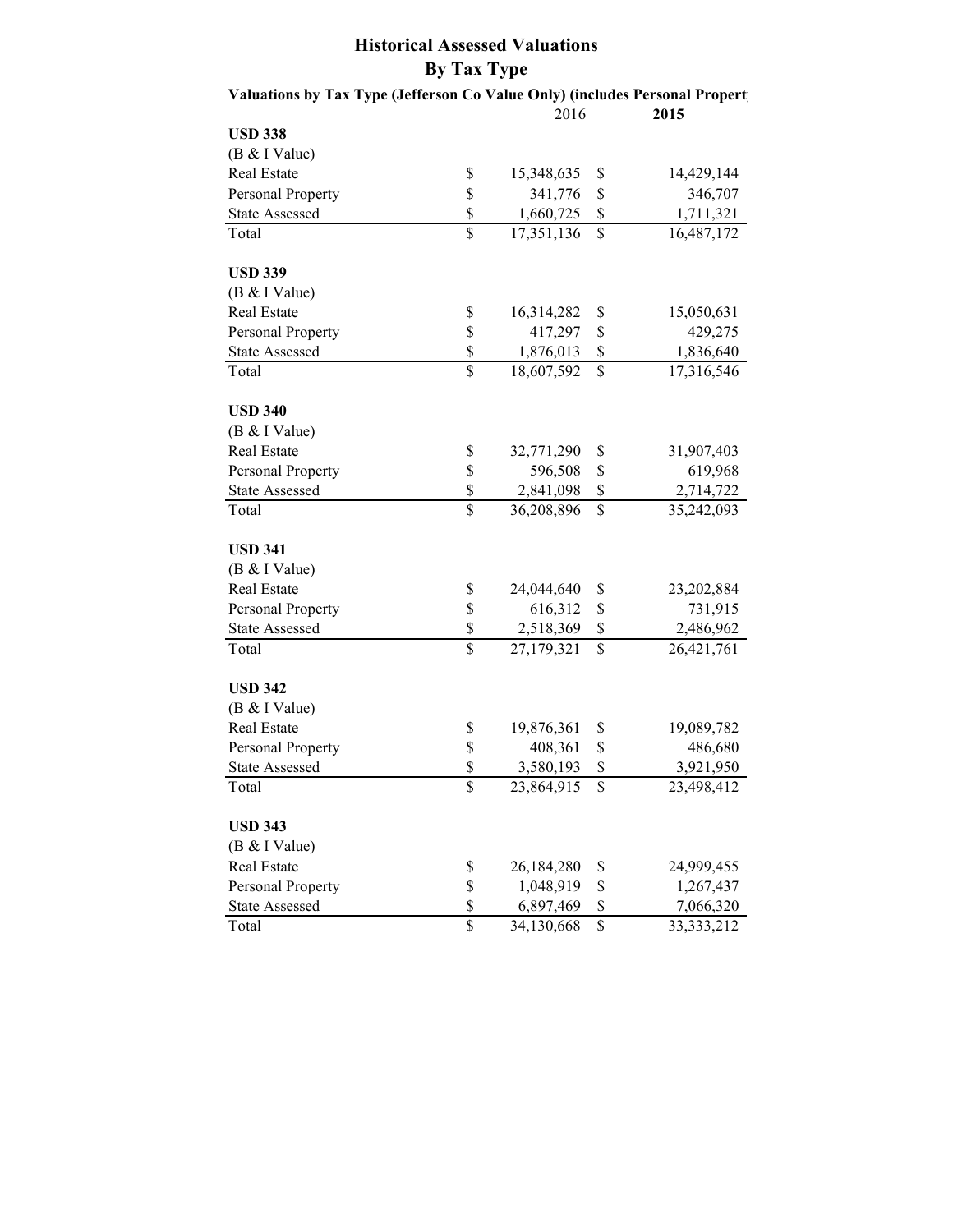|                       |                          | 2016       | 2015               |
|-----------------------|--------------------------|------------|--------------------|
| <b>USD 338</b>        |                          |            |                    |
| (B & I Value)         |                          |            |                    |
| Real Estate           | \$                       | 15,348,635 | \$<br>14,429,144   |
| Personal Property     | \$                       | 341,776    | \$<br>346,707      |
| <b>State Assessed</b> | \$                       | 1,660,725  | \$<br>1,711,321    |
| Total                 | \$                       | 17,351,136 | \$<br>16,487,172   |
| <b>USD 339</b>        |                          |            |                    |
| (B & I Value)         |                          |            |                    |
| Real Estate           | \$                       | 16,314,282 | \$<br>15,050,631   |
| Personal Property     | \$                       | 417,297    | \$<br>429,275      |
| <b>State Assessed</b> | \$                       | 1,876,013  | \$<br>1,836,640    |
| Total                 | $\overline{\mathbb{S}}$  | 18,607,592 | \$<br>17,316,546   |
| <b>USD 340</b>        |                          |            |                    |
| (B & I Value)         |                          |            |                    |
| Real Estate           | \$                       | 32,771,290 | \$<br>31,907,403   |
| Personal Property     | \$                       | 596,508    | \$<br>619,968      |
| <b>State Assessed</b> | \$                       | 2,841,098  | \$<br>2,714,722    |
| Total                 | $\overline{\$}$          | 36,208,896 | \$<br>35,242,093   |
| <b>USD 341</b>        |                          |            |                    |
| (B & I Value)         |                          |            |                    |
| Real Estate           | \$                       | 24,044,640 | \$<br>23,202,884   |
| Personal Property     | \$                       | 616,312    | \$<br>731,915      |
| <b>State Assessed</b> | \$                       | 2,518,369  | \$<br>2,486,962    |
| Total                 | $\overline{\mathbb{S}}$  | 27,179,321 | \$<br>26,421,761   |
| <b>USD 342</b>        |                          |            |                    |
| (B & I Value)         |                          |            |                    |
| Real Estate           | \$                       | 19,876,361 | \$<br>19,089,782   |
| Personal Property     | \$                       | 408,361    | \$<br>486,680      |
| <b>State Assessed</b> | \$                       | 3,580,193  | \$<br>3,921,950    |
| Total                 | $\overline{\mathcal{S}}$ | 23,864,915 | \$<br>23,498,412   |
| <b>USD 343</b>        |                          |            |                    |
| (B & I Value)         |                          |            |                    |
| Real Estate           | \$                       | 26,184,280 | \$<br>24,999,455   |
| Personal Property     | \$                       | 1,048,919  | \$<br>1,267,437    |
| <b>State Assessed</b> | \$                       | 6,897,469  | \$<br>7,066,320    |
| Total                 | \$                       | 34,130,668 | \$<br>33, 333, 212 |

### **Historical Assessed Valuations By Tax Type** Valuations by Tax Type (Jefferson Co Value Only) (includes Personal Propert)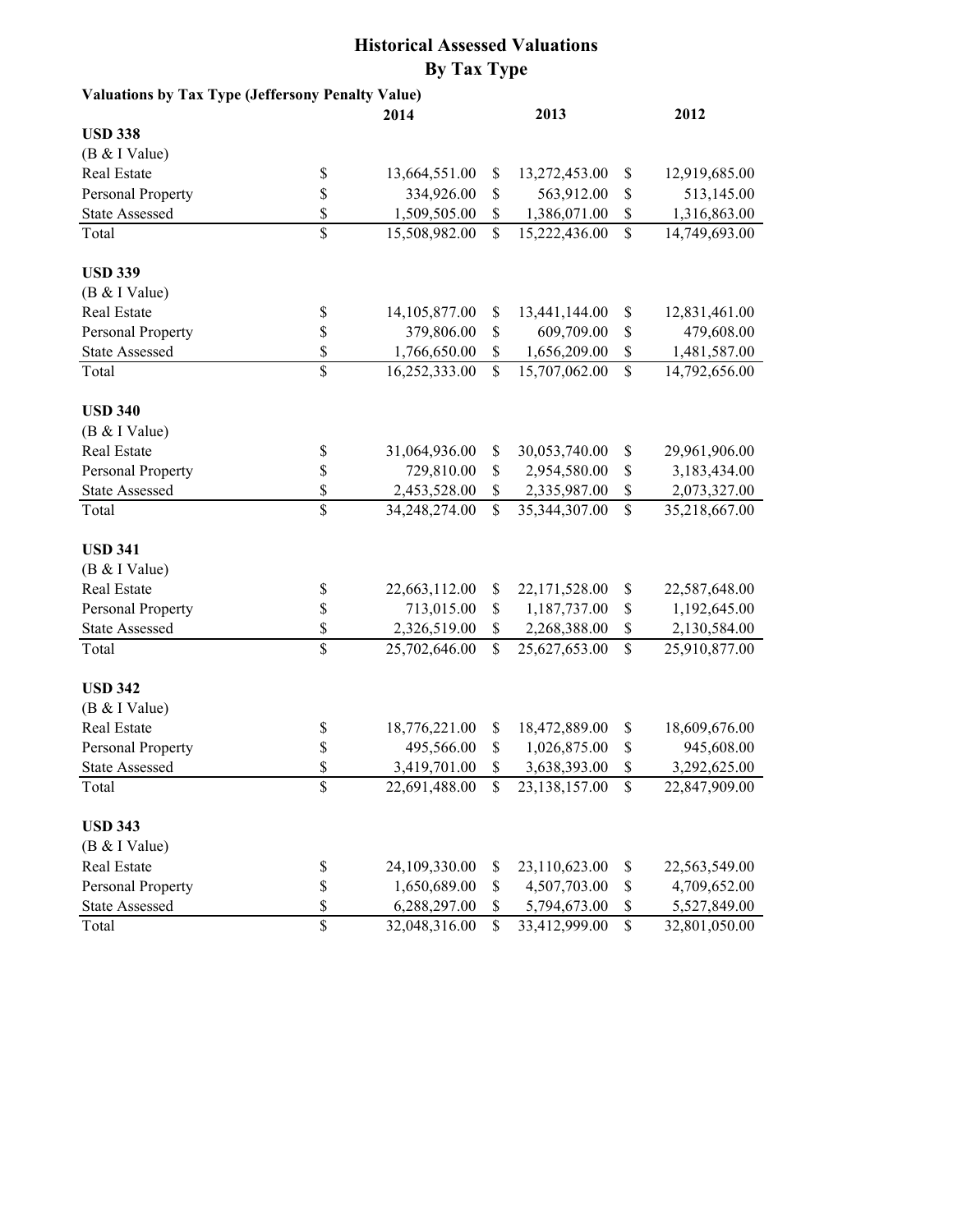|                       |                          | 2014               |              | 2013               |                    | 2012          |
|-----------------------|--------------------------|--------------------|--------------|--------------------|--------------------|---------------|
| <b>USD 338</b>        |                          |                    |              |                    |                    |               |
| (B & I Value)         |                          |                    |              |                    |                    |               |
| Real Estate           | \$                       | 13,664,551.00      | \$           | 13,272,453.00      | \$                 | 12,919,685.00 |
| Personal Property     | \$                       | 334,926.00         | \$           | 563,912.00         | \$                 | 513,145.00    |
| <b>State Assessed</b> | \$                       | 1,509,505.00       | \$           | 1,386,071.00       | \$                 | 1,316,863.00  |
| Total                 | $\mathbf{\hat{S}}$       | 15,508,982.00      | \$           | 15,222,436.00      | $\mathbf{\hat{S}}$ | 14,749,693.00 |
| <b>USD 339</b>        |                          |                    |              |                    |                    |               |
| (B & I Value)         |                          |                    |              |                    |                    |               |
| Real Estate           | \$                       | 14,105,877.00      | \$           | 13,441,144.00      | <sup>\$</sup>      | 12,831,461.00 |
| Personal Property     | \$                       | 379,806.00         | \$           | 609,709.00         | \$                 | 479,608.00    |
| <b>State Assessed</b> | \$                       | 1,766,650.00       | \$           | 1,656,209.00       | \$                 | 1,481,587.00  |
| Total                 | \$                       | 16,252,333.00      | \$           | 15,707,062.00      | \$                 | 14,792,656.00 |
| <b>USD 340</b>        |                          |                    |              |                    |                    |               |
| (B & I Value)         |                          |                    |              |                    |                    |               |
| Real Estate           | \$                       | 31,064,936.00      | \$           | 30,053,740.00      | \$                 | 29,961,906.00 |
| Personal Property     | \$                       | 729,810.00         | \$           | 2,954,580.00       | \$                 | 3,183,434.00  |
| <b>State Assessed</b> | \$                       | 2,453,528.00       | \$           | 2,335,987.00       | \$                 | 2,073,327.00  |
| Total                 | \$                       | 34,248,274.00      | \$           | 35,344,307.00      | \$                 | 35,218,667.00 |
| <b>USD 341</b>        |                          |                    |              |                    |                    |               |
| (B & I Value)         |                          |                    |              |                    |                    |               |
| Real Estate           | \$                       | 22,663,112.00      | \$           | 22,171,528.00      | \$                 | 22,587,648.00 |
| Personal Property     | \$                       | 713,015.00         | \$           | 1,187,737.00       | \$                 | 1,192,645.00  |
| <b>State Assessed</b> | \$                       | 2,326,519.00       | \$           | 2,268,388.00       | \$                 | 2,130,584.00  |
| Total                 | \$                       | 25,702,646.00      | \$           | 25,627,653.00      | \$                 | 25,910,877.00 |
| <b>USD 342</b>        |                          |                    |              |                    |                    |               |
| (B & I Value)         |                          |                    |              |                    |                    |               |
| Real Estate           | \$                       | 18,776,221.00      | \$           | 18,472,889.00      | \$                 | 18,609,676.00 |
| Personal Property     | \$                       | 495,566.00         | \$           | 1,026,875.00       | <sup>\$</sup>      | 945,608.00    |
| <b>State Assessed</b> | \$                       | 3,419,701.00       | \$           | 3,638,393.00       |                    | 3,292,625.00  |
| Total                 | $\overline{\$}$          | $22,691,488.00$ \$ |              | $23,138,157.00$ \$ |                    | 22,847,909.00 |
| <b>USD 343</b>        |                          |                    |              |                    |                    |               |
| (B & I Value)         |                          |                    |              |                    |                    |               |
| Real Estate           | \$                       | 24,109,330.00      | S            | 23,110,623.00      | <sup>\$</sup>      | 22,563,549.00 |
| Personal Property     | \$                       | 1,650,689.00       | \$           | 4,507,703.00       | \$                 | 4,709,652.00  |
| <b>State Assessed</b> | \$                       | 6,288,297.00       | \$           | 5,794,673.00       |                    | 5,527,849.00  |
| Total                 | $\overline{\mathcal{S}}$ | 32,048,316.00      | $\mathbb{S}$ | 33,412,999.00      | $\mathsf{\$}$      | 32,801,050.00 |
|                       |                          |                    |              |                    |                    |               |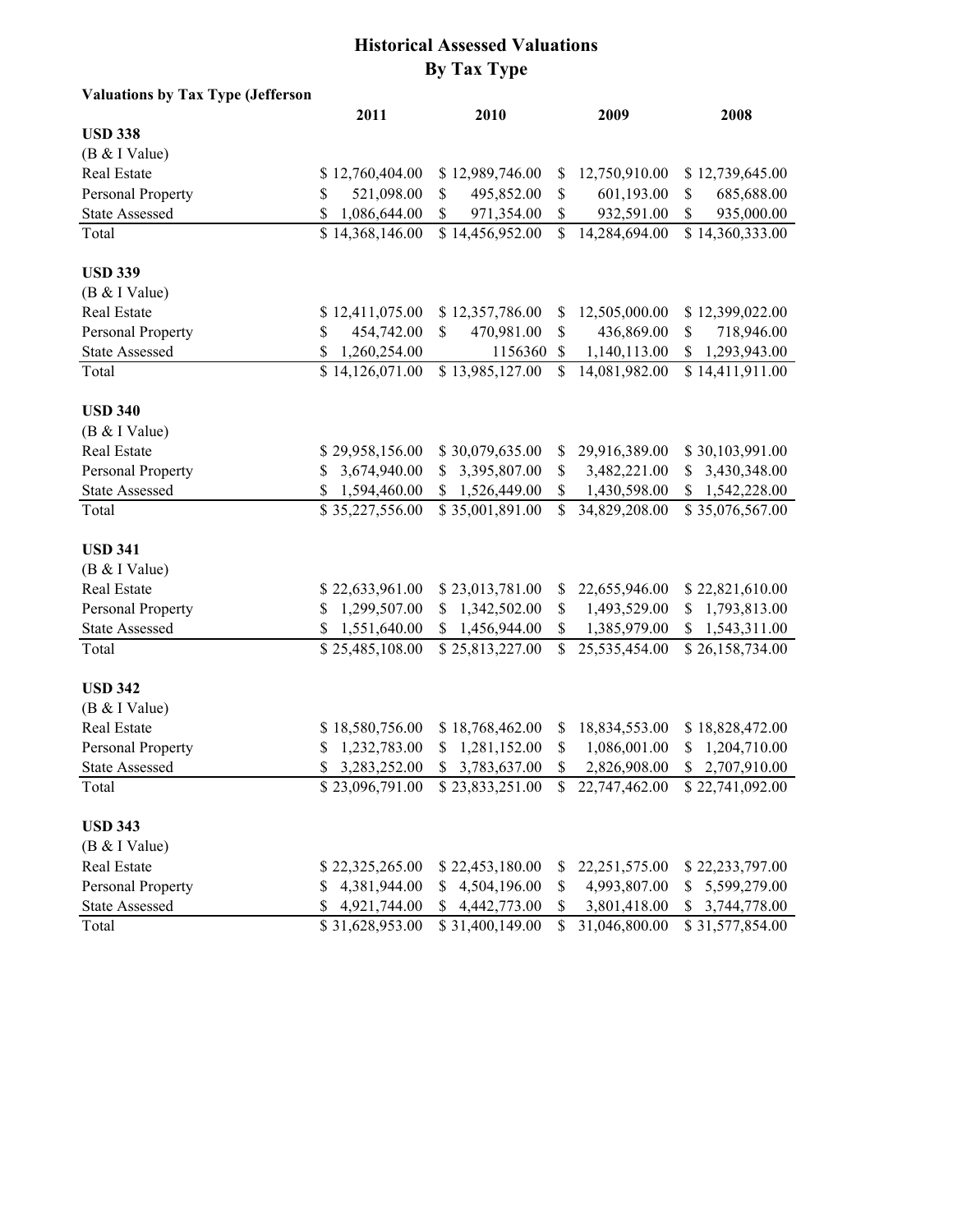| <b>Valuations by Tax Type (Jefferson</b> |                    |                                                                     |              |                 |                    |
|------------------------------------------|--------------------|---------------------------------------------------------------------|--------------|-----------------|--------------------|
|                                          | 2011               | 2010                                                                |              | 2009            | 2008               |
| <b>USD 338</b>                           |                    |                                                                     |              |                 |                    |
| (B & I Value)                            |                    |                                                                     |              |                 |                    |
| Real Estate                              | \$12,760,404.00    | \$12,989,746.00                                                     | \$           | 12,750,910.00   | \$12,739,645.00    |
| Personal Property                        | 521,098.00<br>\$   | 495,852.00<br>\$                                                    | \$           | 601,193.00      | 685,688.00<br>\$   |
| <b>State Assessed</b>                    | \$<br>1,086,644.00 | 971,354.00<br>\$                                                    | \$           | 932,591.00      | 935,000.00<br>\$   |
| Total                                    | \$14,368,146.00    | \$14,456,952.00                                                     | $\mathbb{S}$ | 14,284,694.00   | \$14,360,333.00    |
| <b>USD 339</b>                           |                    |                                                                     |              |                 |                    |
| (B & I Value)                            |                    |                                                                     |              |                 |                    |
| Real Estate                              | \$12,411,075.00    | \$12,357,786.00                                                     | \$           | 12,505,000.00   | \$12,399,022.00    |
| Personal Property                        | \$<br>454,742.00   | \$<br>470,981.00                                                    | \$           | 436,869.00      | \$<br>718,946.00   |
| <b>State Assessed</b>                    | \$<br>1,260,254.00 | 1156360                                                             | \$           | 1,140,113.00    | 1,293,943.00       |
| Total                                    | \$14,126,071.00    | \$13,985,127.00                                                     | \$           | 14,081,982.00   | \$14,411,911.00    |
| <b>USD 340</b>                           |                    |                                                                     |              |                 |                    |
| (B & I Value)                            |                    |                                                                     |              |                 |                    |
| Real Estate                              | \$29,958,156.00    | \$30,079,635.00                                                     | \$           | 29,916,389.00   | \$30,103,991.00    |
| Personal Property                        | 3,674,940.00<br>\$ | 3,395,807.00<br>\$                                                  | \$           | 3,482,221.00    | 3,430,348.00<br>\$ |
| <b>State Assessed</b>                    | \$<br>1,594,460.00 | 1,526,449.00<br>\$                                                  | \$           | 1,430,598.00    | 1,542,228.00<br>\$ |
| Total                                    | \$35,227,556.00    | \$35,001,891.00                                                     | $\mathbb{S}$ | 34,829,208.00   | \$35,076,567.00    |
| <b>USD 341</b>                           |                    |                                                                     |              |                 |                    |
| (B & I Value)                            |                    |                                                                     |              |                 |                    |
| Real Estate                              | \$22,633,961.00    | \$23,013,781.00                                                     | \$           | 22,655,946.00   | \$22,821,610.00    |
| Personal Property                        | 1,299,507.00<br>\$ | 1,342,502.00<br>S                                                   | \$           | 1,493,529.00    | 1,793,813.00<br>S  |
| <b>State Assessed</b>                    | \$<br>1,551,640.00 | 1,456,944.00<br>\$                                                  | \$           | 1,385,979.00    | 1,543,311.00<br>\$ |
| Total                                    | \$25,485,108.00    | \$25,813,227.00                                                     | \$           | 25,535,454.00   | \$26,158,734.00    |
| <b>USD 342</b>                           |                    |                                                                     |              |                 |                    |
| (B & I Value)                            |                    |                                                                     |              |                 |                    |
| Real Estate                              | \$18,580,756.00    | \$18,768,462.00                                                     | \$           | 18,834,553.00   | \$18,828,472.00    |
| Personal Property                        | 1,232,783.00<br>S  | 1,281,152.00<br>S                                                   | \$           | 1,086,001.00    | 1,204,710.00<br>S  |
| <b>State Assessed</b>                    | 3,283,252.00<br>\$ | \$ 3,783,637.00                                                     | \$           | 2,826,908.00    | \$2,707,910.00     |
| Total                                    |                    | $$23,096,791.00$ $$23,833,251.00$ $$22,747,462.00$ $$22,741,092.00$ |              |                 |                    |
| <b>USD 343</b>                           |                    |                                                                     |              |                 |                    |
| (B & I Value)                            |                    |                                                                     |              |                 |                    |
| <b>Real Estate</b>                       | \$22,325,265.00    | \$22,453,180.00                                                     | S            | 22, 251, 575.00 | \$22,233,797.00    |
| Personal Property                        | 4,381,944.00<br>S  | 4,504,196.00                                                        | \$           | 4,993,807.00    | 5,599,279.00       |
| <b>State Assessed</b>                    | 4,921,744.00<br>\$ | \$4,442,773.00                                                      | \$           | 3,801,418.00    | 3,744,778.00<br>S. |
| Total                                    | \$31,628,953.00    | \$31,400,149.00                                                     | $\mathbf S$  | 31,046,800.00   | \$31,577,854.00    |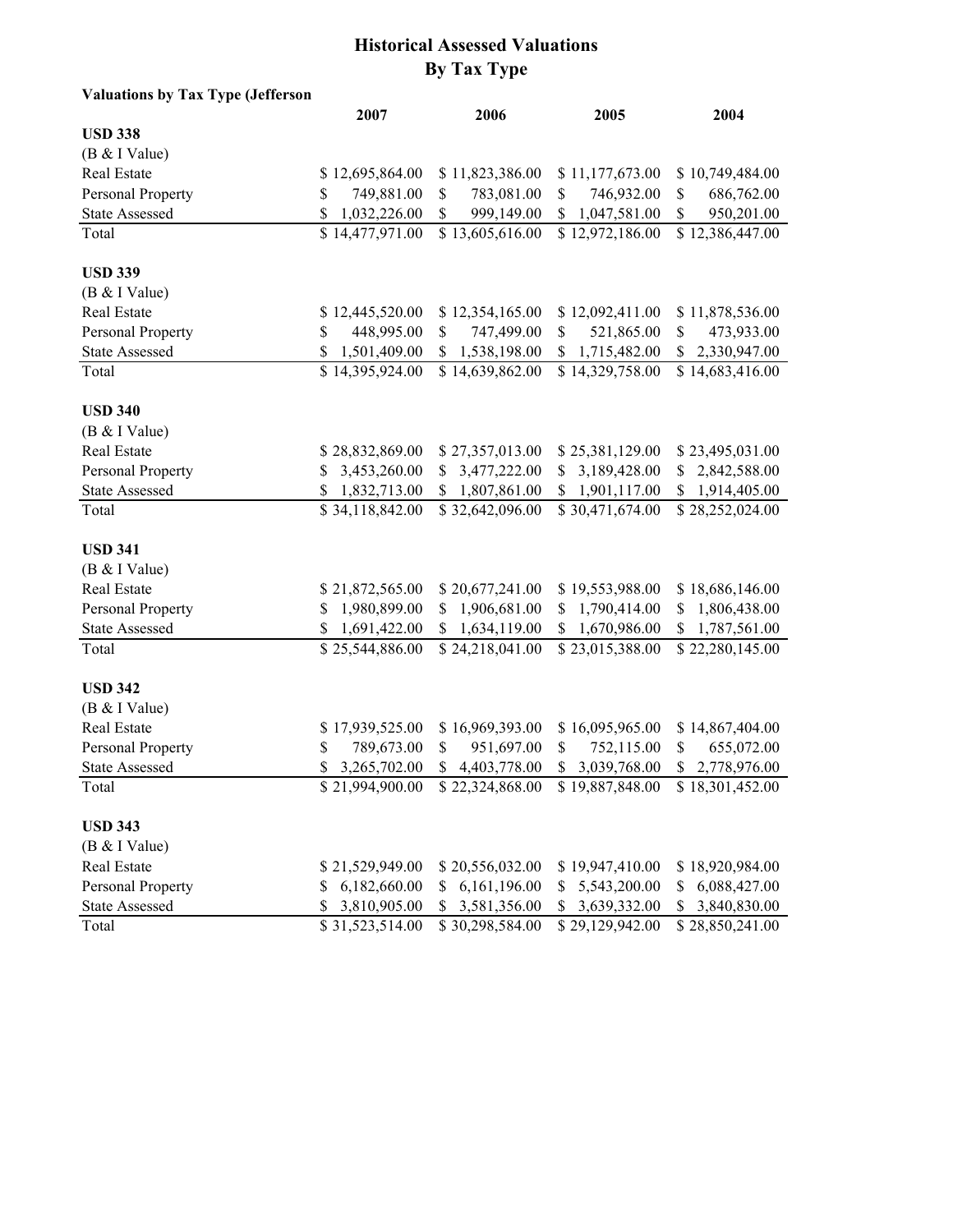| Valuations by Tax Type (Jefferson |                    |                    |                                                                 |                    |
|-----------------------------------|--------------------|--------------------|-----------------------------------------------------------------|--------------------|
|                                   | 2007               | 2006               | 2005                                                            | 2004               |
| <b>USD 338</b>                    |                    |                    |                                                                 |                    |
| (B & I Value)                     |                    |                    |                                                                 |                    |
| Real Estate                       | \$12,695,864.00    | \$11,823,386.00    | \$11,177,673.00                                                 | \$10,749,484.00    |
| Personal Property                 | 749,881.00<br>\$   | 783,081.00<br>\$   | 746,932.00<br>\$                                                | \$<br>686,762.00   |
| <b>State Assessed</b>             | \$<br>1,032,226.00 | \$<br>999,149.00   | \$1,047,581.00                                                  | 950,201.00<br>\$   |
| Total                             | \$14,477,971.00    | \$13,605,616.00    | \$12,972,186.00                                                 | \$12,386,447.00    |
| <b>USD 339</b>                    |                    |                    |                                                                 |                    |
| (B & I Value)                     |                    |                    |                                                                 |                    |
| Real Estate                       | \$12,445,520.00    | \$12,354,165.00    | \$12,092,411.00                                                 | \$11,878,536.00    |
| Personal Property                 | \$<br>448,995.00   | 747,499.00<br>\$   | 521,865.00<br>\$                                                | \$<br>473,933.00   |
| <b>State Assessed</b>             | \$<br>1,501,409.00 | \$1,538,198.00     | \$1,715,482.00                                                  | \$2,330,947.00     |
| Total                             | \$14,395,924.00    | \$14,639,862.00    | \$14,329,758.00                                                 | \$14,683,416.00    |
| <b>USD 340</b>                    |                    |                    |                                                                 |                    |
| (B & I Value)                     |                    |                    |                                                                 |                    |
| Real Estate                       | \$28,832,869.00    | \$27,357,013.00    | \$25,381,129.00                                                 | \$23,495,031.00    |
| Personal Property                 | 3,453,260.00<br>\$ | \$3,477,222.00     | \$3,189,428.00                                                  | \$2,842,588.00     |
| <b>State Assessed</b>             | \$<br>1,832,713.00 | 1,807,861.00<br>\$ | 1,901,117.00<br>\$                                              | \$1,914,405.00     |
| Total                             | \$34,118,842.00    | \$32,642,096.00    | \$30,471,674.00                                                 | \$28,252,024.00    |
| <b>USD 341</b>                    |                    |                    |                                                                 |                    |
| (B & I Value)                     |                    |                    |                                                                 |                    |
| Real Estate                       | \$21,872,565.00    | \$20,677,241.00    | \$19,553,988.00                                                 | \$18,686,146.00    |
| Personal Property                 | 1,980,899.00<br>\$ | \$1,906,681.00     | \$1,790,414.00                                                  | 1,806,438.00<br>\$ |
| <b>State Assessed</b>             | \$<br>1,691,422.00 | \$1,634,119.00     | \$1,670,986.00                                                  | \$1,787,561.00     |
| Total                             | \$25,544,886.00    | \$24,218,041.00    | \$23,015,388.00                                                 | \$22,280,145.00    |
| <b>USD 342</b>                    |                    |                    |                                                                 |                    |
| (B & I Value)                     |                    |                    |                                                                 |                    |
| Real Estate                       | \$17,939,525.00    | \$16,969,393.00    | \$16,095,965.00                                                 | \$14,867,404.00    |
| Personal Property                 | \$<br>789,673.00   | 951,697.00<br>\$   | 752,115.00<br>\$                                                | 655,072.00<br>\$   |
| <b>State Assessed</b>             | 3,265,702.00<br>\$ | \$4,403,778.00     | 3,039,768.00<br>\$                                              | \$2,778,976.00     |
| Total                             |                    |                    | \$21,994,900.00 \$22,324,868.00 \$19,887,848.00 \$18,301,452.00 |                    |
| <b>USD 343</b>                    |                    |                    |                                                                 |                    |
| (B & I Value)                     |                    |                    |                                                                 |                    |
| Real Estate                       | \$21,529,949.00    | \$20,556,032.00    | \$19,947,410.00                                                 | \$18,920,984.00    |
| Personal Property                 | 6,182,660.00<br>S  | 6,161,196.00<br>\$ | 5,543,200.00<br>\$                                              | 6,088,427.00<br>\$ |
| <b>State Assessed</b>             | 3,810,905.00<br>S. | \$ 3,581,356.00    | \$ 3,639,332.00                                                 | 3,840,830.00<br>\$ |
| Total                             | \$31,523,514.00    | \$30,298,584.00    | \$29,129,942.00                                                 | \$28,850,241.00    |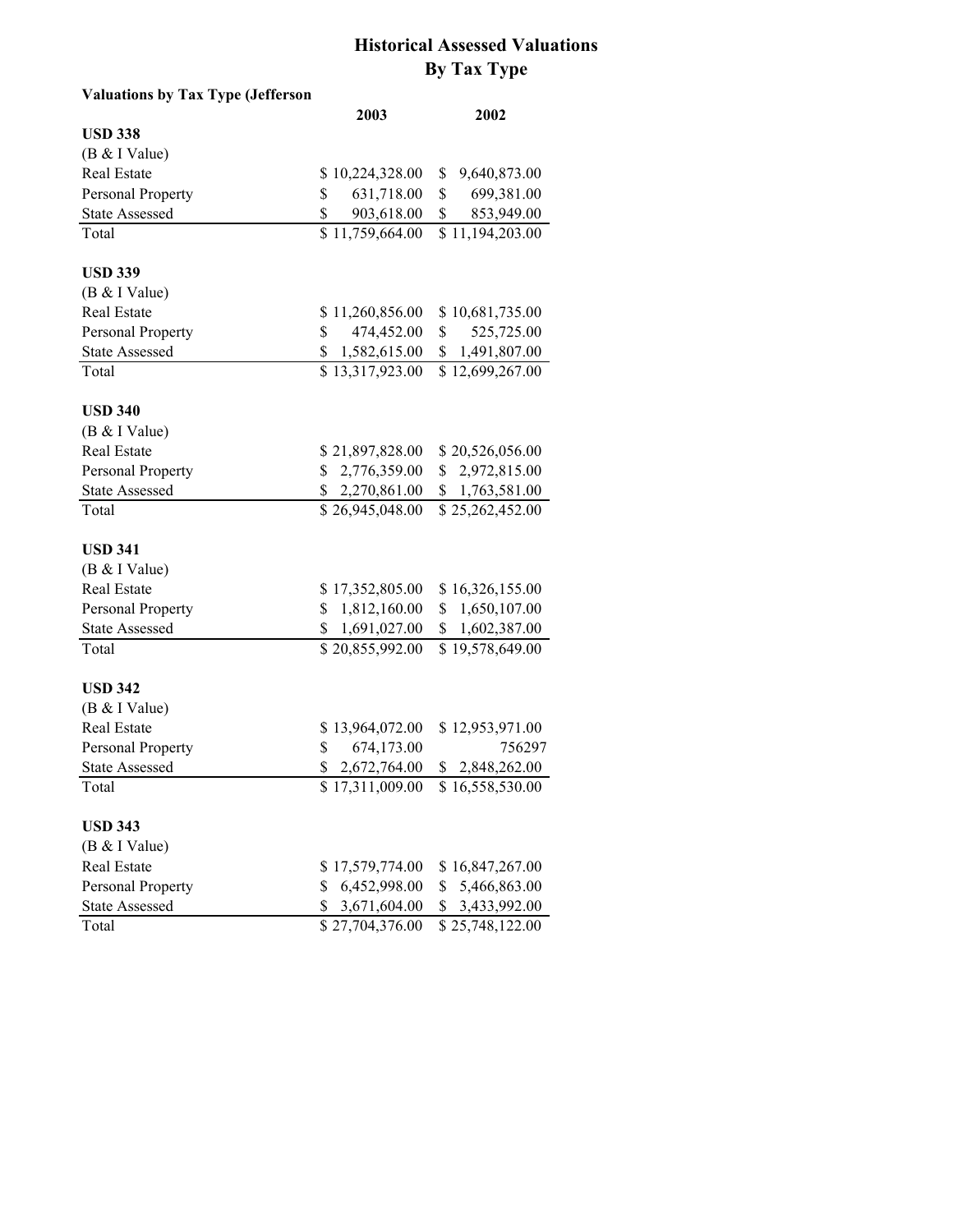| Valuations by Tax Type (Jefferson |                    |                                   |
|-----------------------------------|--------------------|-----------------------------------|
|                                   | 2003               | 2002                              |
| <b>USD 338</b>                    |                    |                                   |
| (B & I Value)                     |                    |                                   |
| Real Estate                       | \$10,224,328.00    | 9,640,873.00<br>\$                |
| Personal Property                 | 631,718.00<br>\$   | \$<br>699,381.00                  |
| <b>State Assessed</b>             | \$<br>903,618.00   | \$<br>853,949.00                  |
| Total                             | \$11,759,664.00    | \$11,194,203.00                   |
| <b>USD 339</b>                    |                    |                                   |
| (B & I Value)                     |                    |                                   |
| Real Estate                       | \$11,260,856.00    | \$10,681,735.00                   |
| Personal Property                 | \$<br>474,452.00   | $\mathbb{S}$<br>525,725.00        |
| <b>State Assessed</b>             | \$<br>1,582,615.00 | \$1,491,807.00                    |
| Total                             | \$13,317,923.00    | \$12,699,267.00                   |
| <b>USD 340</b>                    |                    |                                   |
| (B & I Value)                     |                    |                                   |
| Real Estate                       | \$21,897,828.00    | \$20,526,056.00                   |
| Personal Property                 | \$2,776,359.00     | \$2,972,815.00                    |
| <b>State Assessed</b>             | \$2,270,861.00     | \$1,763,581.00                    |
| Total                             | \$26,945,048.00    | \$25,262,452.00                   |
| <b>USD 341</b>                    |                    |                                   |
| (B & I Value)                     |                    |                                   |
| Real Estate                       | \$17,352,805.00    | \$16,326,155.00                   |
| Personal Property                 | \$1,812,160.00     | \$1,650,107.00                    |
| <b>State Assessed</b>             | 1,691,027.00<br>\$ | 1,602,387.00<br>\$                |
| Total                             | \$20,855,992.00    | \$19,578,649.00                   |
| <b>USD 342</b>                    |                    |                                   |
| (B & I Value)                     |                    |                                   |
| Real Estate                       | \$13,964,072.00    | \$12,953,971.00                   |
| Personal Property                 | 674,173.00<br>\$   | 756297                            |
| <b>State Assessed</b>             | 2,672,764.00<br>\$ | \$2,848,262.00                    |
| Total                             |                    | $$17,311,009.00$ $$16,558,530.00$ |
| <b>USD 343</b>                    |                    |                                   |
| (B & I Value)                     |                    |                                   |
| <b>Real Estate</b>                | \$17,579,774.00    | \$16,847,267.00                   |
| Personal Property                 | 6,452,998.00<br>\$ | 5,466,863.00<br>\$                |
| <b>State Assessed</b>             | \$3,671,604.00     | \$ 3,433,992.00                   |
| Total                             | \$27,704,376.00    | \$25,748,122.00                   |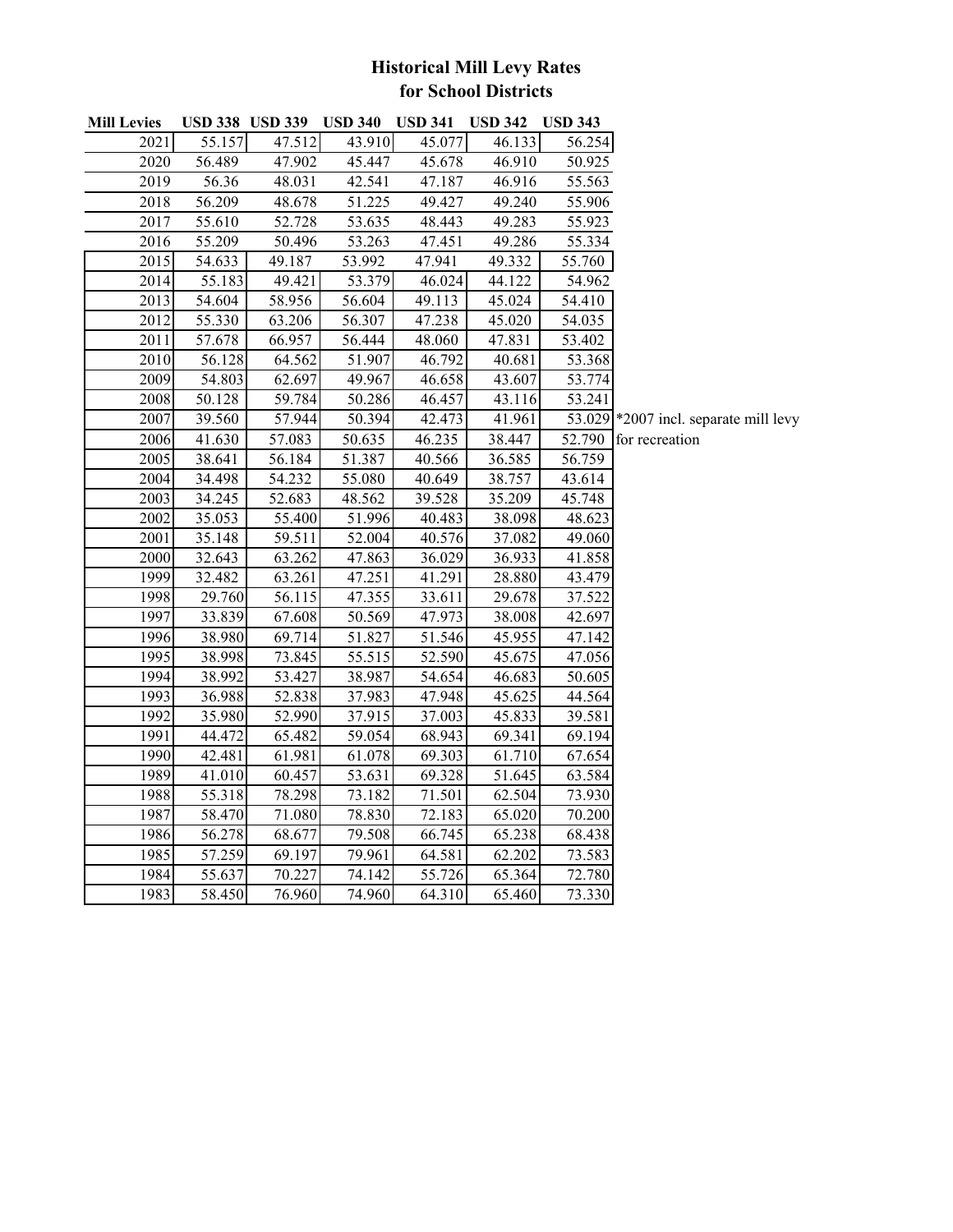# **Historical Mill Levy Rates for School Districts**

| <b>Mill Levies</b> | <b>USD 338 USD 339</b> |        | <b>USD 340</b> | <b>USD 341</b> | <b>USD 342</b> | <b>USD 343</b>      |                                       |
|--------------------|------------------------|--------|----------------|----------------|----------------|---------------------|---------------------------------------|
| 2021               | 55.157                 | 47.512 | 43.910         | 45.077         | 46.133         | 56.254              |                                       |
| 2020               | 56.489                 | 47.902 | 45.447         | 45.678         | 46.910         | 50.925              |                                       |
| 2019               | 56.36                  | 48.031 | 42.541         | 47.187         | 46.916         | 55.563              |                                       |
| 2018               | 56.209                 | 48.678 | 51.225         | 49.427         | 49.240         | 55.906              |                                       |
| 2017               | 55.610                 | 52.728 | 53.635         | 48.443         | 49.283         | 55.923              |                                       |
| 2016               | 55.209                 | 50.496 | 53.263         | 47.451         | 49.286         | 55.334              |                                       |
| 2015               | 54.633                 | 49.187 | 53.992         | 47.941         | 49.332         | 55.760              |                                       |
| 2014               | 55.183                 | 49.421 | 53.379         | 46.024         | 44.122         | 54.962              |                                       |
| 2013               | 54.604                 | 58.956 | 56.604         | 49.113         | 45.024         | 54.410              |                                       |
| 2012               | 55.330                 | 63.206 | 56.307         | 47.238         | 45.020         | 54.035              |                                       |
| 2011               | 57.678                 | 66.957 | 56.444         | 48.060         | 47.831         | 53.402              |                                       |
| 2010               | 56.128                 | 64.562 | 51.907         | 46.792         | 40.681         | 53.368              |                                       |
| 2009               | 54.803                 | 62.697 | 49.967         | 46.658         | 43.607         | 53.774              |                                       |
| 2008               | 50.128                 | 59.784 | 50.286         | 46.457         | 43.116         | $\overline{53.241}$ |                                       |
| 2007               | 39.560                 | 57.944 | 50.394         | 42.473         | 41.961         |                     | 53.029 *2007 incl. separate mill levy |
| 2006               | 41.630                 | 57.083 | 50.635         | 46.235         | 38.447         | 52.790              | for recreation                        |
| 2005               | 38.641                 | 56.184 | 51.387         | 40.566         | 36.585         | 56.759              |                                       |
| 2004               | 34.498                 | 54.232 | 55.080         | 40.649         | 38.757         | 43.614              |                                       |
| 2003               | 34.245                 | 52.683 | 48.562         | 39.528         | 35.209         | 45.748              |                                       |
| 2002               | 35.053                 | 55.400 | 51.996         | 40.483         | 38.098         | 48.623              |                                       |
| 2001               | 35.148                 | 59.511 | 52.004         | 40.576         | 37.082         | 49.060              |                                       |
| 2000               | 32.643                 | 63.262 | 47.863         | 36.029         | 36.933         | 41.858              |                                       |
| 1999               | 32.482                 | 63.261 | 47.251         | 41.291         | 28.880         | 43.479              |                                       |
| 1998               | 29.760                 | 56.115 | 47.355         | 33.611         | 29.678         | 37.522              |                                       |
| 1997               | 33.839                 | 67.608 | 50.569         | 47.973         | 38.008         | 42.697              |                                       |
| 1996               | 38.980                 | 69.714 | 51.827         | 51.546         | 45.955         | 47.142              |                                       |
| 1995               | 38.998                 | 73.845 | 55.515         | 52.590         | 45.675         | 47.056              |                                       |
| 1994               | 38.992                 | 53.427 | 38.987         | 54.654         | 46.683         | 50.605              |                                       |
| 1993               | 36.988                 | 52.838 | 37.983         | 47.948         | 45.625         | 44.564              |                                       |
| 1992               | 35.980                 | 52.990 | 37.915         | 37.003         | 45.833         | 39.581              |                                       |
| 1991               | 44.472                 | 65.482 | 59.054         | 68.943         | 69.341         | 69.194              |                                       |
| 1990               | 42.481                 | 61.981 | 61.078         | 69.303         | 61.710         | 67.654              |                                       |
| 1989               | 41.010                 | 60.457 | 53.631         | 69.328         | 51.645         | 63.584              |                                       |
| 1988               | 55.318                 | 78.298 | 73.182         | 71.501         | 62.504         | 73.930              |                                       |
| 1987               | 58.470                 | 71.080 | 78.830         | 72.183         | 65.020         | 70.200              |                                       |
| 1986               | 56.278                 | 68.677 | 79.508         | 66.745         | 65.238         | 68.438              |                                       |
| 1985               | 57.259                 | 69.197 | 79.961         | 64.581         | 62.202         | 73.583              |                                       |
| 1984               | 55.637                 | 70.227 | 74.142         | 55.726         | 65.364         | 72.780              |                                       |
| 1983               | 58.450                 | 76.960 | 74.960         | 64.310         | 65.460         | 73.330              |                                       |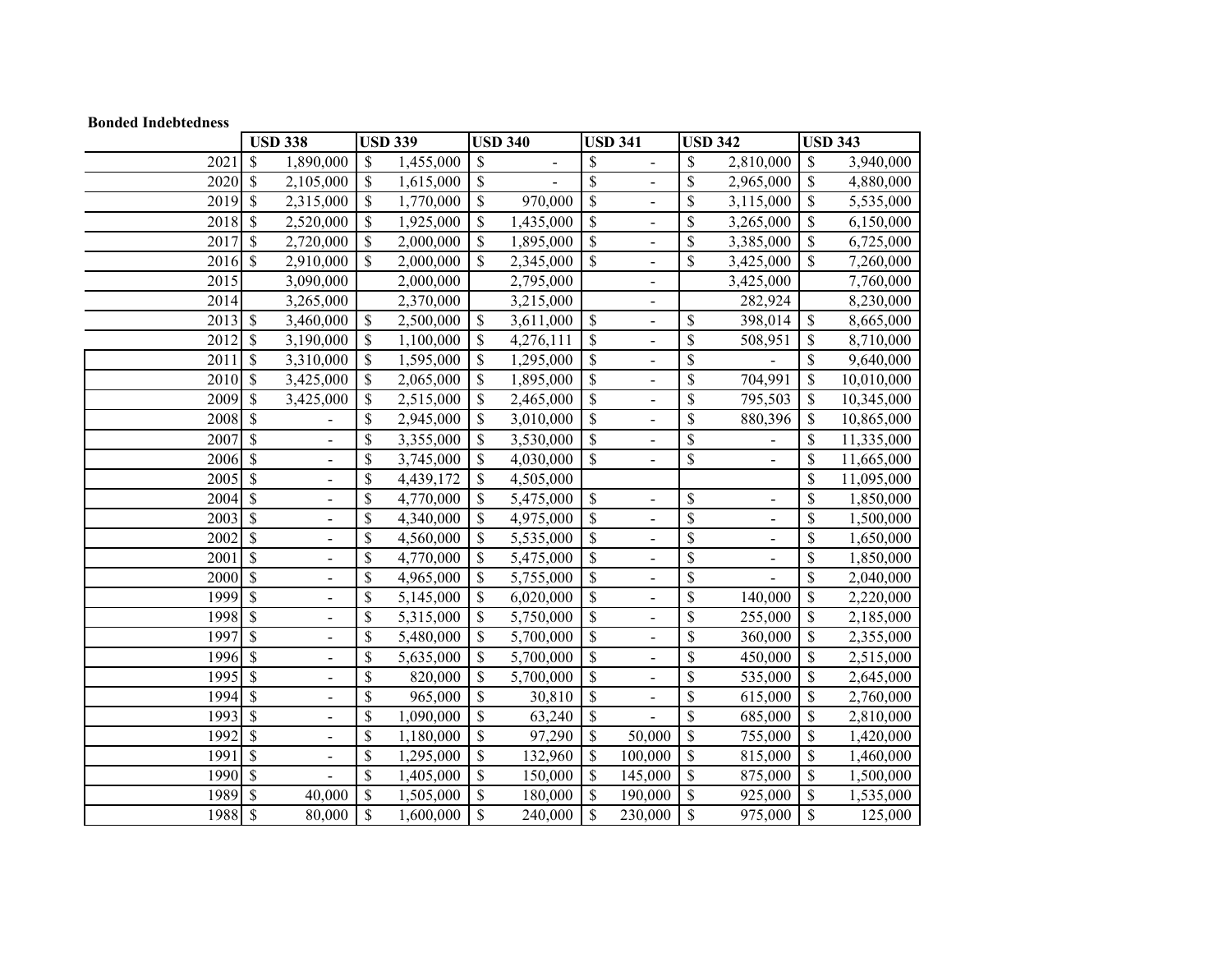#### **Bonded Indebtedness**

|                   | <b>USD 338</b>                                           |                          | <b>USD 339</b> |                           | <b>USD 340</b>               |                           | <b>USD 341</b>           |                 | <b>USD 342</b>           |                          | <b>USD 343</b> |
|-------------------|----------------------------------------------------------|--------------------------|----------------|---------------------------|------------------------------|---------------------------|--------------------------|-----------------|--------------------------|--------------------------|----------------|
| 2021              | \$<br>1,890,000                                          | \$                       | 1,455,000      | \$                        | $\qquad \qquad \blacksquare$ | \$                        |                          | \$              | 2,810,000                | \$                       | 3,940,000      |
| 2020              | \$<br>2,105,000                                          | \$                       | 1,615,000      | \$                        |                              | \$                        | $\overline{a}$           | \$              | 2,965,000                | \$                       | 4,880,000      |
| 2019              | \$<br>2,315,000                                          | \$                       | 1,770,000      | \$                        | 970,000                      | \$                        | $\overline{a}$           | \$              | 3,115,000                | \$                       | 5,535,000      |
| 2018              | \$<br>2,520,000                                          | \$                       | 1,925,000      | \$                        | 1,435,000                    | $\boldsymbol{\mathsf{S}}$ | $\overline{a}$           | \$              | 3,265,000                | \$                       | 6,150,000      |
| 2017              | \$<br>2,720,000                                          | \$                       | 2,000,000      | $\mathsf{\$}$             | 1,895,000                    | $\overline{\mathcal{S}}$  | $\overline{a}$           | \$              | 3,385,000                | \$                       | 6,725,000      |
| 2016              | \$<br>2,910,000                                          | \$                       | 2,000,000      | $\mathcal{S}$             | 2,345,000                    | \$                        | $\overline{\phantom{a}}$ | \$              | 3,425,000                | \$                       | 7,260,000      |
| $\overline{2015}$ | 3,090,000                                                |                          | 2,000,000      |                           | 2,795,000                    |                           | $\overline{a}$           |                 | 3,425,000                |                          | 7,760,000      |
| 2014              | 3,265,000                                                |                          | 2,370,000      |                           | 3,215,000                    |                           | $\overline{\phantom{0}}$ |                 | 282,924                  |                          | 8,230,000      |
| 2013              | $\mathcal{S}$<br>3,460,000                               | \$                       | 2,500,000      | \$                        | 3,611,000                    | \$                        | $\frac{1}{2}$            | \$              | 398,014                  | \$                       | 8,665,000      |
| 2012              | \$<br>3,190,000                                          | \$                       | 1,100,000      | $\$$                      | 4,276,111                    | \$                        | $\overline{a}$           | \$              | 508,951                  | \$                       | 8,710,000      |
| 2011              | \$<br>3,310,000                                          | \$                       | 1,595,000      | $\boldsymbol{\mathsf{S}}$ | 1,295,000                    | \$                        | $\overline{a}$           | \$              |                          | \$                       | 9,640,000      |
| 2010              | $\boldsymbol{\mathsf{S}}$<br>3,425,000                   | \$                       | 2,065,000      | $\mathbb{S}$              | 1,895,000                    | $\boldsymbol{\mathsf{S}}$ | $\overline{a}$           | \$              | 704,991                  | \$                       | 10,010,000     |
| 2009              | $\mathbb{S}$<br>3,425,000                                | \$                       | 2,515,000      | $\mathcal{S}$             | 2,465,000                    | \$                        | $\overline{a}$           | \$              | 795,503                  | \$                       | 10,345,000     |
| 2008              | \$                                                       | \$                       | 2,945,000      | $\$$                      | 3,010,000                    | $\mathcal{S}$             | ÷.                       | \$              | 880,396                  | \$                       | 10,865,000     |
| 2007              | \$                                                       | \$                       | 3,355,000      | \$                        | 3,530,000                    | $\boldsymbol{\mathsf{S}}$ |                          | \$              |                          | \$                       | 11,335,000     |
| 2006              | $\$$<br>$\qquad \qquad \blacksquare$                     | \$                       | 3,745,000      | \$                        | 4,030,000                    | \$                        |                          | \$              | $\overline{\phantom{0}}$ | \$                       | 11,665,000     |
| 2005              | \$<br>$\blacksquare$                                     | \$                       | 4,439,172      | \$                        | 4,505,000                    |                           |                          |                 |                          | \$                       | 11,095,000     |
| 2004              | \$<br>$\blacksquare$                                     | \$                       | 4,770,000      | $\mathcal{S}$             | 5,475,000                    | $\boldsymbol{\mathsf{S}}$ |                          | \$              |                          | \$                       | 1,850,000      |
| 2003              | $\overline{\mathcal{S}}$<br>$\overline{a}$               | \$                       | 4,340,000      | $\$$                      | 4,975,000                    | $\overline{\mathcal{S}}$  | $\overline{a}$           | \$              | $\overline{a}$           | \$                       | 1,500,000      |
| 2002              | $\overline{\mathcal{S}}$<br>$\blacksquare$               | \$                       | 4,560,000      | \$                        | 5,535,000                    | $\overline{\mathcal{S}}$  | $\overline{a}$           | \$              | $\overline{\phantom{0}}$ | \$                       | 1,650,000      |
| 2001              | $\overline{\$}$<br>$\blacksquare$                        | \$                       | 4,770,000      | $\boldsymbol{\mathsf{S}}$ | 5,475,000                    | \$                        | $\overline{a}$           | \$              |                          | \$                       | 1,850,000      |
| 2000              | $\overline{\$}$<br>$\blacksquare$                        | $\overline{\mathcal{S}}$ | 4,965,000      | $\overline{\mathcal{S}}$  | 5,755,000                    | $\overline{\mathcal{S}}$  | $\overline{a}$           | $\overline{\$}$ |                          | $\overline{\mathcal{S}}$ | 2,040,000      |
| 1999              | $\overline{\mathcal{S}}$<br>$\qquad \qquad \blacksquare$ | \$                       | 5,145,000      | $\$$                      | 6,020,000                    | $\overline{\mathcal{S}}$  |                          | \$              | 140,000                  | \$                       | 2,220,000      |
| 1998              | \$<br>$\overline{\phantom{m}}$                           | \$                       | 5,315,000      | \$                        | 5,750,000                    | \$                        | $\overline{\phantom{0}}$ | \$              | 255,000                  | \$                       | 2,185,000      |
| 1997              | \$<br>$\overline{\phantom{0}}$                           | \$                       | 5,480,000      | \$                        | 5,700,000                    | $\boldsymbol{\mathsf{S}}$ | $\overline{\phantom{0}}$ | \$              | 360,000                  | \$                       | 2,355,000      |
| 1996              | \$<br>$\overline{a}$                                     | \$                       | 5,635,000      | \$                        | $\overline{5,700,000}$       | \$                        | $\overline{a}$           | \$              | 450,000                  | \$                       | 2,515,000      |
| 1995              | \$                                                       | \$                       | 820,000        | $\$$                      | 5,700,000                    | $\boldsymbol{\mathsf{S}}$ |                          | \$              | 535,000                  | \$                       | 2,645,000      |
| 1994              | \$<br>$\blacksquare$                                     | \$                       | 965,000        | $\$$                      | 30,810                       | $\overline{\$}$           | $\overline{a}$           | \$              | 615,000                  | \$                       | 2,760,000      |
| 1993              | \$<br>$\overline{\phantom{a}}$                           | \$                       | 1,090,000      | \$                        | 63,240                       | \$                        |                          | \$              | 685,000                  | \$                       | 2,810,000      |
| 1992              | $\mathbf{\hat{S}}$<br>$\overline{\phantom{a}}$           | \$                       | 1,180,000      | \$                        | 97,290                       | \$                        | 50,000                   | \$              | 755,000                  | \$                       | 1,420,000      |
| 1991              | \$<br>$\qquad \qquad \blacksquare$                       | \$                       | 1,295,000      | \$                        | 132,960                      | \$                        | 100,000                  | \$              | 815,000                  | \$                       | 1,460,000      |
| 1990              | \$                                                       | $\$$                     | 1,405,000      | $\$$                      | 150,000                      | \$                        | 145,000                  | \$              | 875,000                  | \$                       | 1,500,000      |
| 1989              | \$<br>40,000                                             | \$                       | 1,505,000      | $\mathcal{S}$             | 180,000                      | \$                        | 190,000                  | \$              | 925,000                  | \$                       | 1,535,000      |
| 1988              | \$<br>80,000                                             | \$                       | 1,600,000      | $\mathcal{S}$             | 240,000                      | \$                        | 230,000                  | \$              | 975,000                  | \$                       | 125,000        |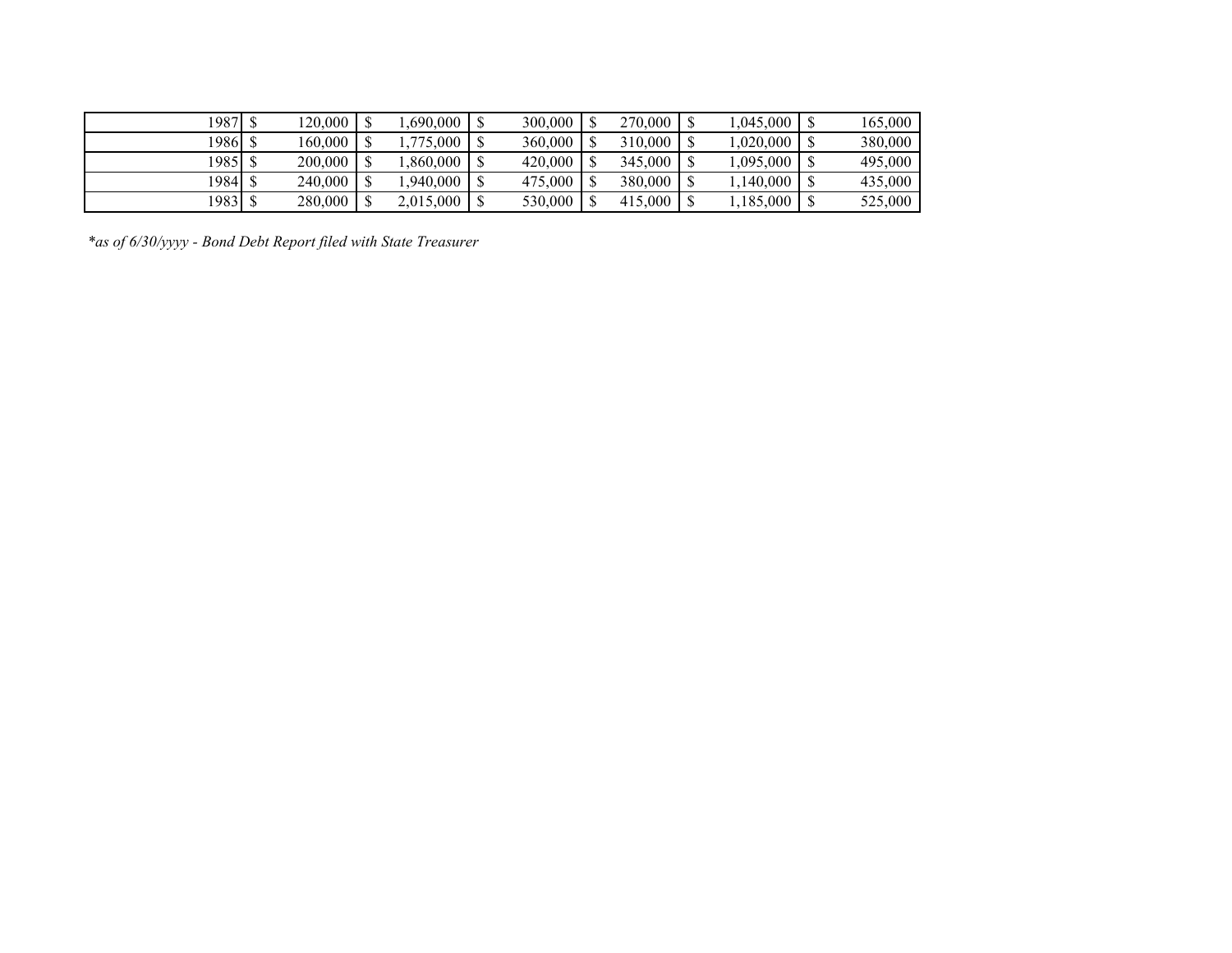| 1987  | 120.000 | ,690,000  | 300,000 | 270,000 | ,045,000  | 165,000 |
|-------|---------|-----------|---------|---------|-----------|---------|
| 19861 | 160.000 | .775.000  | 360,000 | 310,000 | 0.020,000 | 380,000 |
| 1985  | 200,000 | .860.000  | 420,000 | 345,000 | ,095,000  | 495,000 |
| 19841 | 240,000 | .940.000  | 475,000 | 380,000 | 1.140.000 | 435,000 |
| 19831 | 280,000 | 2,015,000 | 530,000 | 415,000 | 1,185,000 | 525,000 |

*\*as of 6/30/yyyy - Bond Debt Report filed with State Treasurer*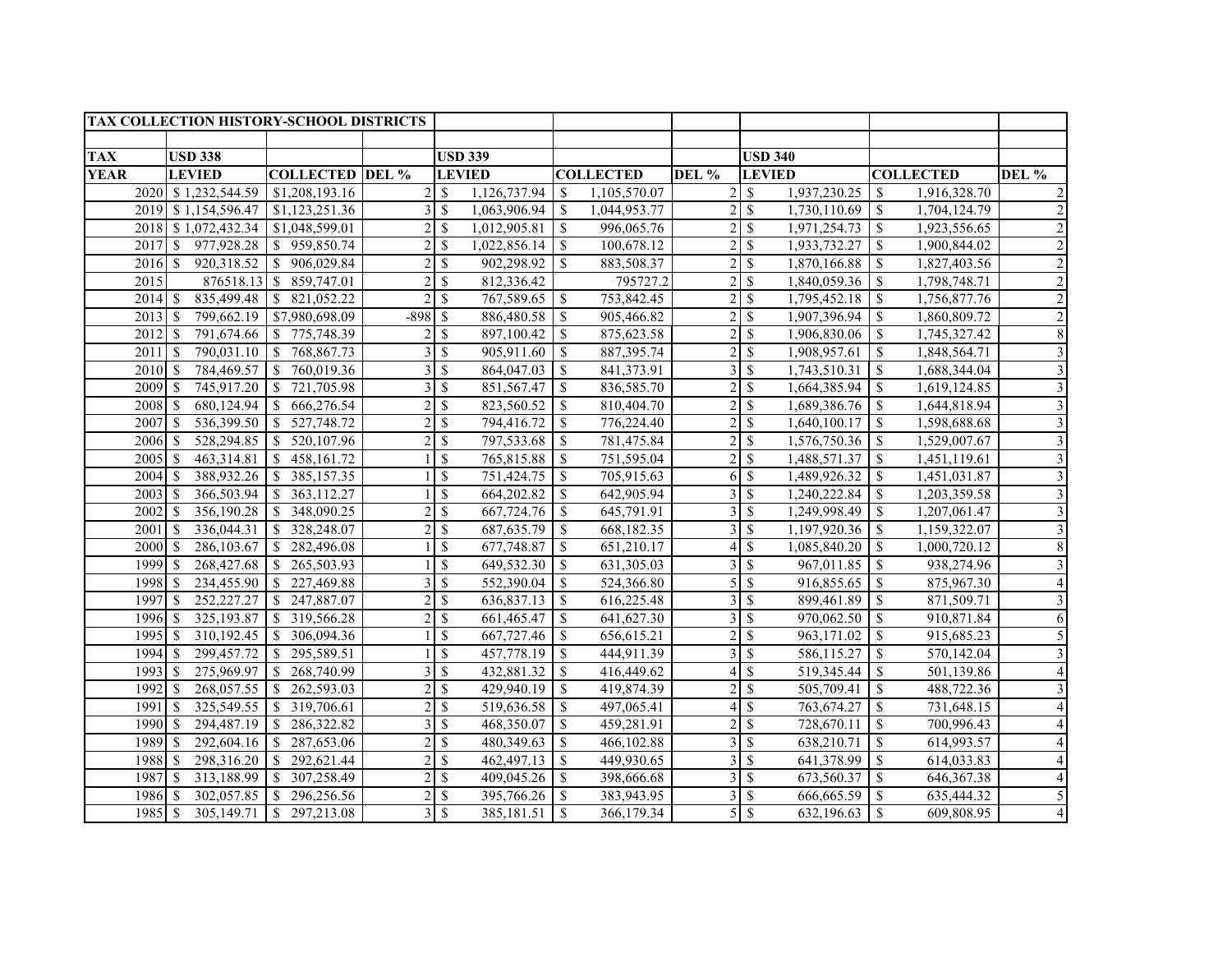|             | <b>TAX COLLECTION HISTORY-SCHOOL DISTRICTS</b> |                                       |                |               |                |                    |                  |                |                          |              |                                       |                          |
|-------------|------------------------------------------------|---------------------------------------|----------------|---------------|----------------|--------------------|------------------|----------------|--------------------------|--------------|---------------------------------------|--------------------------|
|             |                                                |                                       |                |               |                |                    |                  |                |                          |              |                                       |                          |
| <b>TAX</b>  | <b>USD 338</b>                                 |                                       |                |               | <b>USD 339</b> |                    |                  |                | <b>USD 340</b>           |              |                                       |                          |
| <b>YEAR</b> | <b>LEVIED</b>                                  | <b>COLLECTED DEL %</b>                |                |               | <b>LEVIED</b>  |                    | <b>COLLECTED</b> | DEL %          | <b>LEVIED</b>            |              | <b>COLLECTED</b>                      | DEL %                    |
|             | 2020 \$1,232,544.59                            | \$1,208,193.16                        | $\overline{c}$ | - \$          | 1,126,737.94   | - \$               | 1,105,570.07     |                | $2 \overline{\sqrt{3}}$  | 1,937,230.25 | 1,916,328.70<br>-S                    |                          |
|             | 2019 \$1,154,596.47 \$1,123,251.36             |                                       | 3              | -S            | 1,063,906.94   | - \$               | 1,044,953.77     |                |                          | 1,730,110.69 | 1,704,124.79<br>-S                    | $\overline{2}$           |
|             | 2018 \$1,072,432.34 \$1,048,599.01             |                                       | $\overline{c}$ | -S            | 1,012,905.81   | -S                 | 996,065.76       |                | 2S                       | 1,971,254.73 | <sup>\$</sup><br>1,923,556.65         |                          |
|             | 2017 \$ 977,928.28 \$ 959,850.74               |                                       | $\overline{2}$ | -S            |                |                    | 100,678.12       |                | 2S                       | 1,933,732.27 | 1,900,844.02<br>-\$                   |                          |
| $2016$ \$   |                                                | $920,318.52$ \ \$ $906,029.84$        | $\overline{2}$ | -\$           | 902,298.92     | \$                 | 883,508.37       |                | 2S                       | 1,870,166.88 | -S<br>1,827,403.56                    | $\overline{c}$           |
| 2015        | $876518.13$ \$                                 | 859,747.01                            | $\overline{2}$ | \$            | 812,336.42     |                    | 795727.2         |                | 2S                       | 1,840,059.36 | 1,798,748.71<br><sup>\$</sup>         | $\overline{c}$           |
| 2014S       |                                                | 835,499.48 \ \$ 821,052.22            | $\overline{2}$ | <sup>\$</sup> | 767,589.65     | $\mathcal{S}$      | 753,842.45       |                | 2S                       | 1,795,452.18 | $\mathbf{\hat{S}}$<br>1,756,877.76    | $\overline{2}$           |
| 2013S       |                                                | 799,662.19 \\$7,980,698.09            | $-898S$        |               | 886,480.58     | <sup>S</sup>       | 905,466.82       |                | 2S                       | 1,907,396.94 | <sup>S</sup><br>1,860,809.72          |                          |
| 2012        | <sup>\$</sup>                                  | 791,674.66 \ \$ 775,748.39            | $\overline{2}$ | -S            | 897,100.42     | -S                 | 875,623.58       |                | 2S                       | 1,906,830.06 | <sup>\$</sup><br>1,745,327.42         | 8                        |
| 2011        | <sup>\$</sup>                                  | 790,031.10 \ \$ 768,867.73            | 3              | \$            | 905,911.60     | $\mathbb{S}$       | 887,395.74       | 21             | \$                       | 1,908,957.61 | 1,848,564.71<br>\$                    | $\overline{\mathbf{3}}$  |
| 2010S       |                                                | 784,469.57 \$760,019.36               | 3              | <sup>\$</sup> | 864,047.03     | $\mathbb{S}$       | 841,373.91       |                | 3S                       | 1,743,510.31 | $\sqrt{S}$<br>1,688,344.04            | $\overline{\mathbf{3}}$  |
| 2009        | $\mathcal{S}$<br>745,917.20                    | 721,705.98<br>$\sqrt{3}$              | 3              | $\mathcal{S}$ | 851, 567. 47   | $\mathcal{S}$      | 836,585.70       | $\overline{2}$ | $\mathcal{S}$            | 1,664,385.94 | $\mathbf{e}$<br>1,619,124.85          | $\overline{3}$           |
| 2008        | $\mathbb{S}$<br>680,124.94                     | 666,276.54<br>$\sqrt{S}$              | $\overline{2}$ | <sup>S</sup>  | 823,560.52     | $\mathbb{S}$       | 810,404.70       | $\overline{2}$ | <sup>S</sup>             | 1,689,386.76 | -S<br>1,644,818.94                    | $\overline{\mathbf{3}}$  |
| 2007        | 536,399.50<br><sup>\$</sup>                    | $\overline{527,748.72}$<br>$\vert$ \$ | 2              | <sup>\$</sup> | 794,416.72     | <sup>\$</sup>      | 776,224.40       | $\overline{2}$ | <sup>\$</sup>            | 1,640,100.17 | $\sqrt{S}$<br>1,598,688.68            | 3                        |
| 2006        | 528, 294.85<br><sup>\$</sup>                   | 520,107.96<br>$\overline{1}$          | $\overline{c}$ | <sup>S</sup>  | 797,533.68     | $\mathbb{S}$       | 781,475.84       | 2 <sup>1</sup> | $\mathbf{\hat{S}}$       | 1,576,750.36 | $\sqrt{3}$<br>1,529,007.67            | 3                        |
| 2005        | $\overline{463,3}14.81$<br><sup>\$</sup>       | $\overline{S}$<br>458,161.72          |                | <sup>\$</sup> | 765,815.88     | $\mathbf{\hat{S}}$ | 751,595.04       | $\overline{2}$ | <sup>\$</sup>            | 1,488,571.37 | -S<br>1,451,119.61                    | 3                        |
| 2004        | 388,932.26<br>$\mathcal{S}$                    | $\mathbb{S}$<br>385,157.35            |                | <sup>\$</sup> | 751,424.75     | $\mathbf{\hat{S}}$ | 705,915.63       | 6I             | $\mathbf S$              | 1,489,926.32 | $\mathbf{\hat{S}}$<br>1,451,031.87    | 3                        |
| 2003        | 366,503.94<br><sup>\$</sup>                    | \$363,112.27                          |                | <sup>\$</sup> | 664,202.82     | \$                 | 642,905.94       |                | 3S                       | 1,240,222.84 | $\sqrt{3}$<br>1,203,359.58            | 3                        |
| 2002        | \$.<br>356,190.28                              | 348,090.25<br>$\overline{1}$          |                | $\mathbf S$   | 667,724.76     | <sup>\$</sup>      | 645,791.91       |                | 3S                       | 1,249,998.49 | $\mathcal{S}$<br>1,207,061.47         | 3                        |
| 2001        | -S<br>336,044.31                               | $\sqrt{S}$<br>328,248.07              | $\overline{2}$ | <sup>\$</sup> | 687, 635.79    | <sup>\$</sup>      | 668,182.35       |                | 3S                       | 1,197,920.36 | $\sqrt{S}$<br>1,159,322.07            | 3                        |
| 2000        | 286,103.67<br><sup>S</sup>                     | 282,496.08<br>$\vert$ \$              |                | <sup>\$</sup> | 677,748.87     | \$                 | 651,210.17       |                | \$                       | 1,085,840.20 | $\sqrt{S}$<br>1,000,720.12            | 8                        |
| 1999 \$     | 268,427.68                                     | \$265,503.93                          |                | <sup>\$</sup> | 649,532.30     | $\mathbf{\hat{S}}$ | 631,305.03       |                | 3S                       | 967,011.85   | $\sqrt{S}$<br>938,274.96              | 3                        |
| 1998        | $\mathcal{S}$<br>234,455.90                    | \$227,469.88                          | 3              | $\mathcal{S}$ | 552,390.04     | $\mathbf{\hat{S}}$ | 524,366.80       |                | 5S                       | 916,855.65   | $\overline{\mathbf{S}}$<br>875,967.30 | $\overline{\mathcal{L}}$ |
| 1997        | 252, 227. 27<br><sup>\$</sup>                  | $\mathbf{\hat{s}}$<br>247,887.07      | $\overline{c}$ | -S            | 636,837.13     | <sup>\$</sup>      | 616,225.48       | $\overline{3}$ | <sup>\$</sup>            | 899,461.89   | $\sqrt{3}$<br>871,509.71              | $\overline{\mathbf{3}}$  |
| 1996        | 325,193.87<br><sup>\$</sup>                    | \$ 319,566.28                         | $\mathfrak{D}$ | \$            | 661,465.47     | \$                 | 641,627.30       | $\overline{3}$ | \$                       | 970,062.50   | $\mathbb{S}$<br>910,871.84            | 6                        |
| 1995        | 310,192.45<br><sup>\$</sup>                    | 306,094.36<br>$\overline{1}$          |                | <sup>\$</sup> | 667,727.46     | \$                 | 656,615.21       |                | 2S                       | 963,171.02   | $\sqrt{S}$<br>915,685.23              | 5                        |
| 1994        | 299,457.72<br>S.                               | $\vert s \vert$<br>295,589.51         |                | $\mathcal{S}$ | 457,778.19     | $\mathbb{S}$       | 444,911.39       |                | $3 \,$ $\,$              | 586,115.27   | $\mathbf{e}$<br>570,142.04            | $\overline{\mathbf{3}}$  |
| 1993        | 275,969.97<br>S.                               | 268,740.99<br>$\vert$ \$              | 3              | -S            | 432,881.32     | $\mathbf{\hat{S}}$ | 416,449.62       | 4              | <sup>\$</sup>            | 519,345.44   | $\sqrt{3}$<br>501,139.86              | $\overline{4}$           |
| 1992        | 268,057.55<br>$\mathbb{S}$                     | 262,593.03<br>$\vert$ \$              | $\overline{2}$ | <sup>\$</sup> | 429,940.19     | $\mathbb{S}$       | 419,874.39       | $\overline{2}$ | $\overline{\mathcal{S}}$ | 505,709.41   | $\sqrt{S}$<br>488,722.36              | 3                        |
| 1991        | 325,549.55<br><sup>\$</sup>                    | 319,706.61<br>$\overline{1}$          | $\overline{2}$ | $\mathbf S$   | 519,636.58     | $\mathbf S$        | 497,065.41       |                | $4 \,$ \$                | 763,674.27   | $\sqrt{S}$<br>731,648.15              | 4                        |
| 1990        | $\mathcal{S}$<br>294,487.19                    | $\vert$ \$<br>286,322.82              | 3              | $\mathcal{S}$ | 468,350.07     | $\mathbb{S}$       | 459,281.91       | 2 <sup>1</sup> | \$                       | 728,670.11   | $\sqrt{S}$<br>700,996.43              | 4                        |
| 1989        | 292,604.16<br>$\mathcal{S}$                    | $\vert s \vert$<br>287,653.06         | $\overline{2}$ | <sup>S</sup>  | 480,349.63     | $\mathbf S$        | 466,102.88       | $\overline{3}$ | \$                       | 638,210.71   | $\sqrt{3}$<br>614,993.57              | $\overline{4}$           |
| 1988        | 298,316.20<br><sup>\$</sup>                    | \$292,621.44                          | $\overline{2}$ | $\mathbf S$   | 462, 497. 13   | \$                 | 449,930.65       |                | 3S                       | 641,378.99   | $\mathbb{S}$<br>614,033.83            | 4                        |
| 1987        | 313,188.99<br>-S                               | 307,258.49<br>$\overline{1}$          | $\overline{2}$ | <sup>\$</sup> | 409,045.26     | -S                 | 398,666.68       |                | $3 \, \text{S}$          | 673,560.37   | $\mathcal{S}$<br>646, 367. 38         | $\overline{4}$           |
| 1986        | 302,057.85<br>-S                               | $\mathcal{S}$<br>296,256.56           | $\overline{c}$ | -S            | 395,766.26     | -S                 | 383,943.95       |                | $3 \, \text{S}$          | 666,665.59   | -\$<br>635,444.32                     |                          |
| 1985S       | 305,149.71                                     | 297,213.08<br>S.                      | 3              | <sup>\$</sup> | 385,181.51     | <sup>\$</sup>      | 366,179.34       | 51             | \$                       | 632,196.63   | <sup>S</sup><br>609,808.95            |                          |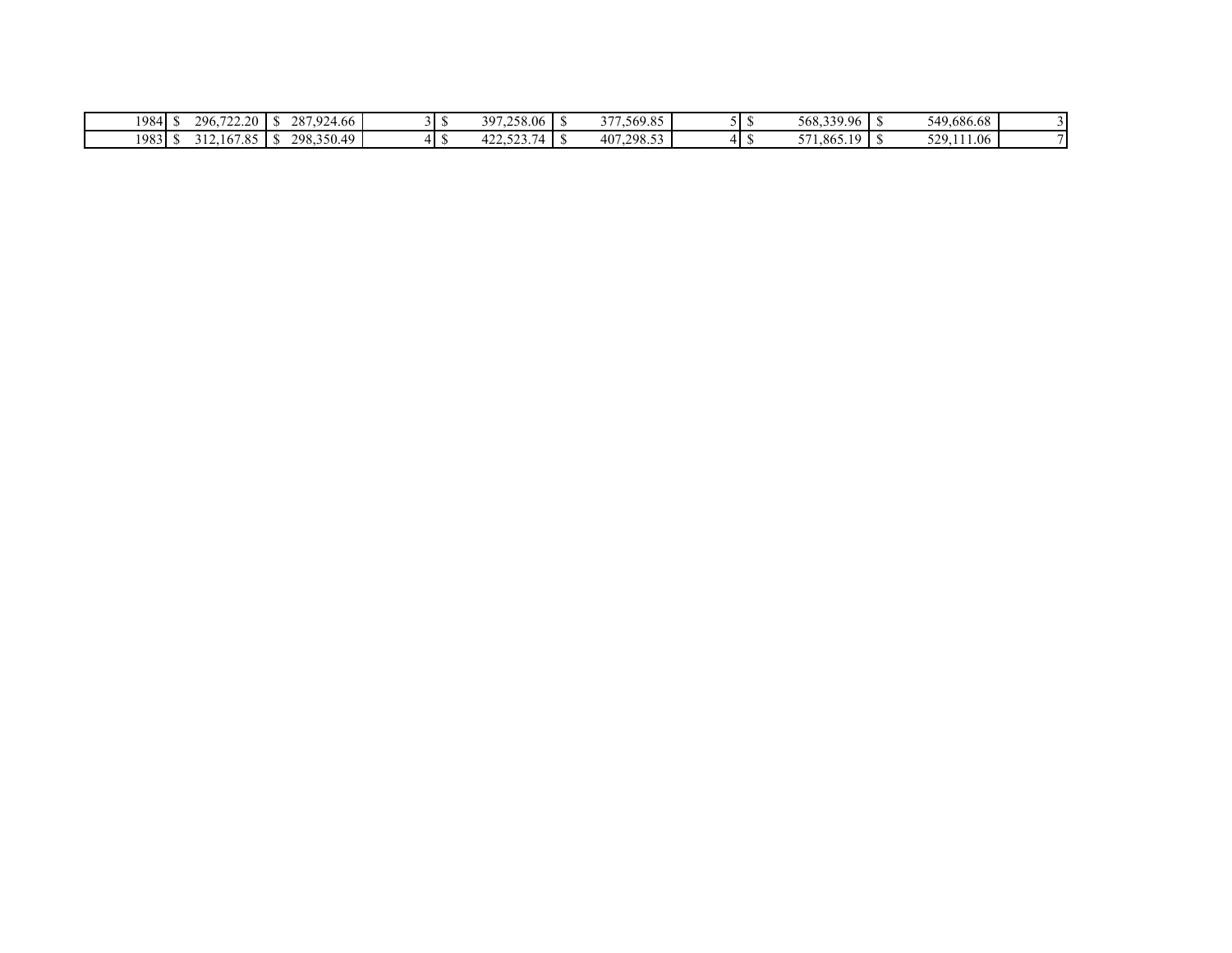| 296.<br>722.20<br>1984                                                           | 4,924.66<br>287,<br>$\sqrt{2}$<br>. . | 397,258.06                            | 1,569.85<br>2.77 |  | 568,339.96                                               | . | 549,686.68 |  |
|----------------------------------------------------------------------------------|---------------------------------------|---------------------------------------|------------------|--|----------------------------------------------------------|---|------------|--|
| 1983<br>$\sim$ $\sim$<br>6705<br>16.<br>1.0J<br>$\cdot$ 1 $\cup$<br>, <u>, ,</u> | 298.3<br>.350.49<br>$\sqrt{ }$<br>. . | $\sim$ $\sim$ $\sim$ $\sim$<br>$\sim$ | 407,298.53       |  | $F \rightarrow 1$<br>1,865.19<br>$\cdot$ $\cdot$ $\cdot$ |   | 529,111.06 |  |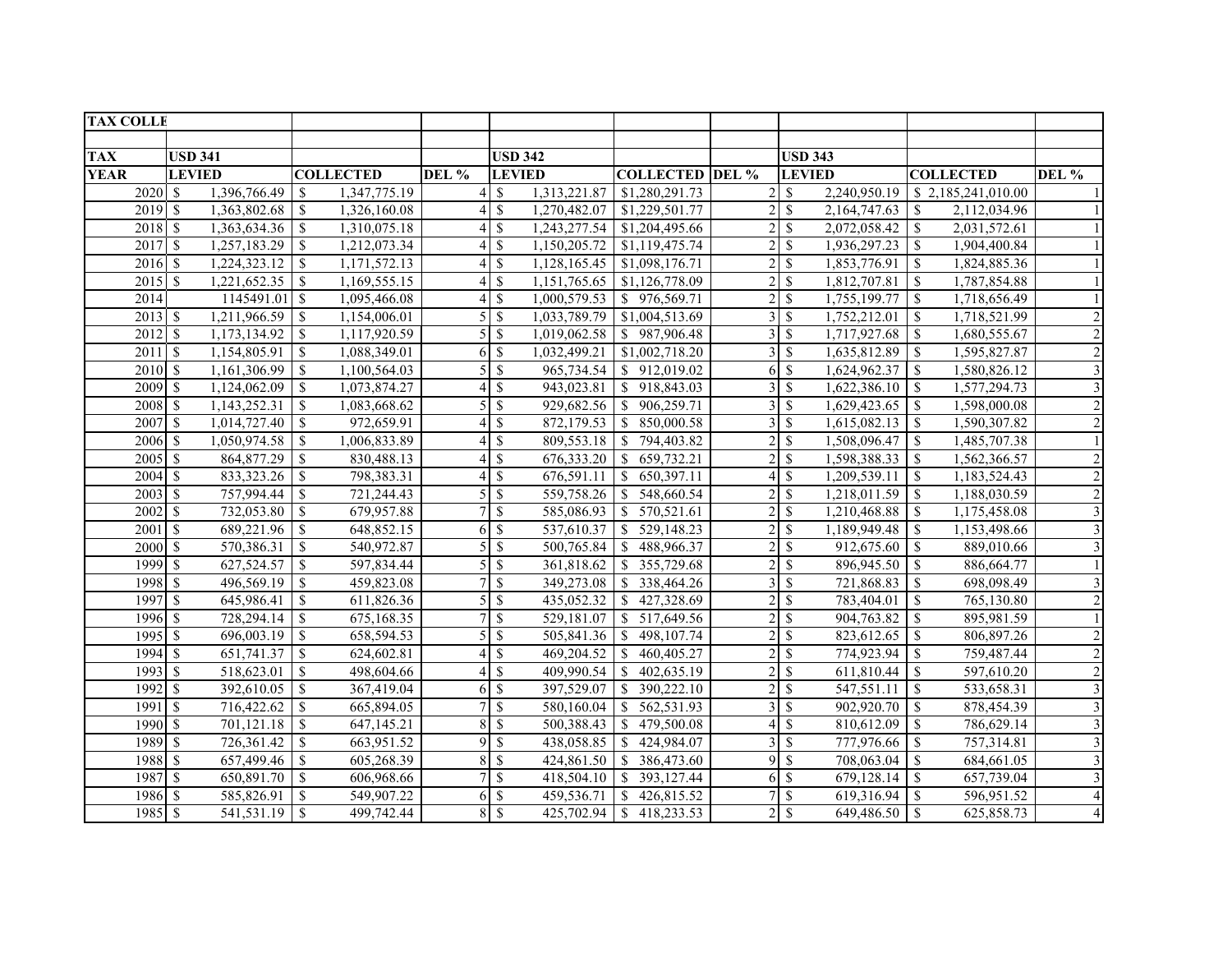| <b>TAX COLLE</b>     |                                  |                                         |       |                            |                          |                                  |                              |                           |              |                                  |                         |
|----------------------|----------------------------------|-----------------------------------------|-------|----------------------------|--------------------------|----------------------------------|------------------------------|---------------------------|--------------|----------------------------------|-------------------------|
|                      |                                  |                                         |       |                            |                          |                                  |                              |                           |              |                                  |                         |
| <b>TAX</b>           | <b>USD 341</b>                   |                                         |       | <b>USD 342</b>             |                          |                                  |                              | <b>USD 343</b>            |              |                                  |                         |
| <b>YEAR</b>          | <b>LEVIED</b>                    | <b>COLLECTED</b>                        | DEL % |                            | <b>LEVIED</b>            | <b>COLLECTED DEL %</b>           |                              | <b>LEVIED</b>             |              | <b>COLLECTED</b>                 | DEL %                   |
| $2020$ \$            | 1,396,766.49                     | 1,347,775.19<br>-S                      |       | $4 \text{ }$ \$            | 1,313,221.87             | \$1,280,291.73                   | $\overline{2}$               | $\mathcal{S}$             | 2,240,950.19 | \$2,185,241,010.00               |                         |
| 2019S                | 1,363,802.68                     | <sup>S</sup><br>1,326,160.08            |       | $4 \text{ }$ \$            | 1,270,482.07             | \$1,229,501.77                   | $\left  \frac{2}{2} \right $ | $\mathbf S$               | 2,164,747.63 | <sup>\$</sup><br>2,112,034.96    |                         |
| 2018S                | 1,363,634.36                     | $\mathbb{S}$<br>1,310,075.18            |       | $4 \text{ }$ \$            | 1,243,277.54             | \$1,204,495.66                   | $\overline{2}$               | $\mathcal{S}$             | 2,072,058.42 | 2,031,572.61<br><sup>\$</sup>    |                         |
| 2017S                |                                  | 1,212,073.34                            |       | $4 \text{ }$ \$            | 1,150,205.72             | \$1,119,475.74                   | $\overline{c}$               | $\mathbb{S}$              | 1,936,297.23 | <sup>\$</sup><br>1,904,400.84    |                         |
| $2016$ \$            | $1,224,323.12$ \\$               | 1,171,572.13                            |       | 4S                         | 1,128,165.45             | \$1,098,176.71                   | $\overline{2}$               | $\mathcal{S}$             | 1,853,776.91 | 1,824,885.36<br>\$               |                         |
| $2015$ \$            | 1,221,652.35                     | $\mathcal{S}$<br>1,169,555.15           |       | <sup>\$</sup><br>$\vert$   |                          | $1,151,765.65$ \$1,126,778.09    | $\overline{2}$               | $\mathbf S$               | 1,812,707.81 | 1,787,854.88<br><sup>\$</sup>    |                         |
| 2014                 | $1145491.01$ \$                  | 1,095,466.08                            |       | $4 \,$ \$                  | 1,000,579.53             | \$976,569.71                     | $\overline{2}$               | \$                        | 1,755,199.77 | <sup>\$</sup><br>1,718,656.49    |                         |
| $2013$ \$            |                                  | 1,154,006.01                            |       | 5S                         | 1,033,789.79             | \$1,004,513.69                   | 3 <sup>1</sup>               | $\mathcal{S}$             | 1,752,212.01 | 1,718,521.99<br>\$               | $\overline{2}$          |
| $2012 \text{ s}$     |                                  | 1,117,920.59                            |       | $5 \overline{\phantom{a}}$ |                          | $1,019,062.58$ \ \ \$ 987,906.48 |                              | 3S                        | 1,717,927.68 | -S<br>1,680,555.67               | $\overline{c}$          |
| 2011                 | 1,154,805.91<br><sup>\$</sup>    | $\mathbb{S}$<br>1,088,349.01            |       | 6S                         |                          | $1,032,499.21$ \\$1,002,718.20   | $\overline{3}$               | \$                        | 1,635,812.89 | 1,595,827.87<br>\$               | $\sqrt{2}$              |
| 2010 \$              | $1,161,306.99$ \$                | 1,100,564.03                            |       | $5 \overline{\text{S}}$    |                          | 965,734.54 \\ \$ 912,019.02      | 6                            | $\mathbb{S}$              | 1,624,962.37 | $\mathcal{S}$<br>1,580,826.12    | $\mathfrak{Z}$          |
| 2009S                | 1,124,062.09                     | <sup>\$</sup><br>1,073,874.27           |       | 4S                         | 943,023.81               | \$918,843.03                     | $\overline{3}$               | -\$                       | 1,622,386.10 | <sup>\$</sup><br>1,577,294.73    | $\mathfrak{Z}$          |
| 2008                 | $\mathcal{S}$<br>1,143,252.31    | $\mathbb S$<br>1,083,668.62             |       | 5S                         | 929,682.56               | \$906,259.71                     | $\overline{3}$               | $\mathbb{S}$              | 1,629,423.65 | $\mathcal{S}$<br>1,598,000.08    | $\sqrt{2}$              |
| 2007                 | $\mathcal{S}$<br>1,014,727.40    | $\mathbb{S}$<br>972,659.91              |       | $\mathbb{S}$               | 872,179.53               | \$850,000.58                     | $\overline{3}$               | \$                        | 1,615,082.13 | 1,590,307.82<br><sup>\$</sup>    | $\overline{2}$          |
| 2006                 | $\mathcal{S}$<br>1,050,974.58    | \$<br>1,006,833.89                      |       | 4S                         | 809,553.18               | $\vert s \vert$<br>794,403.82    | $\overline{2}$               | $\mathcal{S}$             | 1,508,096.47 | 1,485,707.38<br><sup>\$</sup>    |                         |
| 2005                 | $\mathbf{\hat{s}}$<br>864,877.29 | \$<br>830,488.13                        |       | $\mathcal{S}$              | 676,333.20               | $\overline{S}$<br>659,732.21     | 2                            | $\mathcal{S}$             | 1,598,388.33 | <sup>\$</sup><br>1,562,366.57    | $\sqrt{2}$              |
| 2004                 | <sup>\$</sup><br>833,323.26      | \$<br>798,383.31                        |       | $\mathbf S$                | 676,591.11               | $\sqrt{S}$<br>650,397.11         | 4                            | $\mathbf S$               | 1,209,539.11 | 1,183,524.43<br>\$               | $\sqrt{2}$              |
| 2003                 | 757,994.44<br><sup>\$</sup>      | \$<br>721,244.43                        |       | $\mathcal{S}$              |                          | 559,758.26 \$ 548,660.54         | $\overline{2}$               | $\mathcal{S}$             | 1,218,011.59 | <sup>\$</sup><br>1,188,030.59    | $\sqrt{2}$              |
| 2002                 | <sup>\$</sup><br>732,053.80      | 679,957.88<br><sup>\$</sup>             |       |                            | 585,086.93               | \$570,521.61                     | $\overline{2}$               | $\mathcal{S}$             | 1,210,468.88 | 1,175,458.08<br>-S               | $\overline{\mathbf{3}}$ |
| $200\overline{1}$ \$ | 689,221.96                       | \$<br>648,852.15                        |       | 6S                         | 537,610.37               | $\mathbb{S}$<br>529,148.23       | $\overline{2}$               | $\mathcal{S}$             | 1,189,949.48 | \$<br>1,153,498.66               | 3                       |
| 2000                 | -S<br>570,386.31                 | \$<br>540,972.87                        |       | $\mathbf{\hat{s}}$         | 500,765.84               | 488,966.37<br><sup>\$</sup>      | $\overline{2}$               | $\boldsymbol{\mathsf{S}}$ | 912,675.60   | 889,010.66<br><sup>\$</sup>      | 3                       |
| 1999 \$              | 627,524.57                       | $\mathbf S$<br>597,834.44               |       | 5S                         | 361,818.62               | 355,729.68<br>$\mathbf{s}$       | $\overline{2}$               | $\mathbb{S}$              | 896,945.50   | <sup>\$</sup><br>886,664.77      |                         |
| 1998                 | $\mathcal{S}$<br>496,569.19      | $\boldsymbol{\mathsf{S}}$<br>459,823.08 |       | $\mathbf{\hat{s}}$         | 349,273.08               | $\vert s \vert$<br>338,464.26    | $\overline{3}$               | $\mathcal{S}$             | 721,868.83   | $\mathbf S$<br>698,098.49        | 3                       |
| 1997                 | -S<br>645,986.41                 | \$<br>611,826.36                        |       | <sup>S</sup>               | 435,052.32               | $\mathbf{s}$<br>427,328.69       | $\overline{2}$               | \$                        | 783,404.01   | <sup>\$</sup><br>765,130.80      | $\overline{c}$          |
| 1996                 | $\mathcal{S}$<br>728,294.14      | \$<br>675,168.35                        |       | $\mathbf{\hat{s}}$         |                          | 529,181.07 \$ 517,649.56         | $\overline{2}$               | $\boldsymbol{\mathsf{S}}$ | 904,763.82   | \$<br>895,981.59                 |                         |
| 1995                 | $\mathsf{S}$<br>696,003.19       | $\mathbb{S}$<br>658,594.53              |       | 5S                         | 505,841.36 \$            | 498,107.74                       | $\overline{2}$               | \$                        | 823,612.65   | <sup>\$</sup><br>806,897.26      | $\overline{2}$          |
| 1994                 | $\mathcal{S}$<br>651,741.37      | \$<br>624,602.81                        |       | <sup>S</sup>               | 469,204.52               | $\sqrt{S}$<br>460,405.27         | 2                            | $\mathcal{S}$             | 774,923.94   | \$<br>759,487.44                 | $\overline{c}$          |
| 1993                 | $\mathcal{S}$<br>518,623.01      | \$<br>498,604.66                        |       | $\mathcal{S}$              | 409,990.54               | $\mathcal{S}$<br>402,635.19      | $\overline{2}$               | $\mathcal{S}$             | 611,810.44   | $\mathbb{S}$<br>597,610.20       | $\overline{2}$          |
| $1992$ \$            | 392,610.05                       | $\mathbf S$<br>367,419.04               |       | 6S                         | 397,529.07               | 390,222.10<br>$\overline{1}$     | $\overline{2}$               | <sup>\$</sup>             | 547,551.11   | $\mathbb{S}$<br>533,658.31       | $\overline{\mathbf{3}}$ |
| 1991                 | $\sqrt{3}$<br>716,422.62         | \$<br>665,894.05                        |       | 7S                         | 580,160.04               | \$562,531.93                     | $\overline{3}$               | $\overline{\mathcal{S}}$  | 902,920.70   | 878,454.39<br>$\mathbb{S}$       | $\overline{\mathbf{3}}$ |
| 1990 \$              | 701,121.18                       | \$<br>647,145.21                        |       | <sup>S</sup>               | 500,388.43               | $\overline{1}$<br>479,500.08     | 41                           | $\mathbf S$               | 810,612.09   | $\mathbf{\hat{S}}$<br>786,629.14 | $\mathfrak{Z}$          |
| 1989                 | <sup>\$</sup><br>726,361.42      | \$<br>663,951.52                        |       | <sup>S</sup><br>91         | 438,058.85               | <sup>S</sup><br>424,984.07       | $\overline{3}$               | \$                        | 777,976.66   | \$<br>757,314.81                 | $\mathfrak{Z}$          |
| 1988                 | 657,499.46<br>$\mathbb{S}$       | \$<br>605,268.39                        |       | $\mathcal{S}$              | $\overline{42}$ 4,861.50 | \$386,473.60                     | 9                            | $\mathbb{S}$              | 708,063.04   | <sup>\$</sup><br>684,661.05      | $\overline{\mathbf{3}}$ |
| 1987                 | $\mathcal{S}$<br>650,891.70      | $\mathbb{S}$<br>606,968.66              |       | 7S                         | 418,504.10               | $\vert$ \$<br>393,127.44         |                              | 6S                        | 679,128.14   | <sup>\$</sup><br>657,739.04      | 3                       |
| 1986 \$              | 585,826.91                       | \$<br>549,907.22                        |       | 6S                         | 459,536.71               | $\mathcal{S}$<br>426,815.52      |                              | $\mathcal{S}$             | 619,316.94   | $\mathbf S$<br>596,951.52        | $\overline{4}$          |
| 1985 \$              | 541,531.19                       | $\mathbb{S}$<br>499,742.44              |       | 8 \$                       |                          | 418,233.53                       | $\overline{2}$               | $\mathbb{S}$              | 649,486.50   | $\mathcal{S}$<br>625,858.73      | $\overline{4}$          |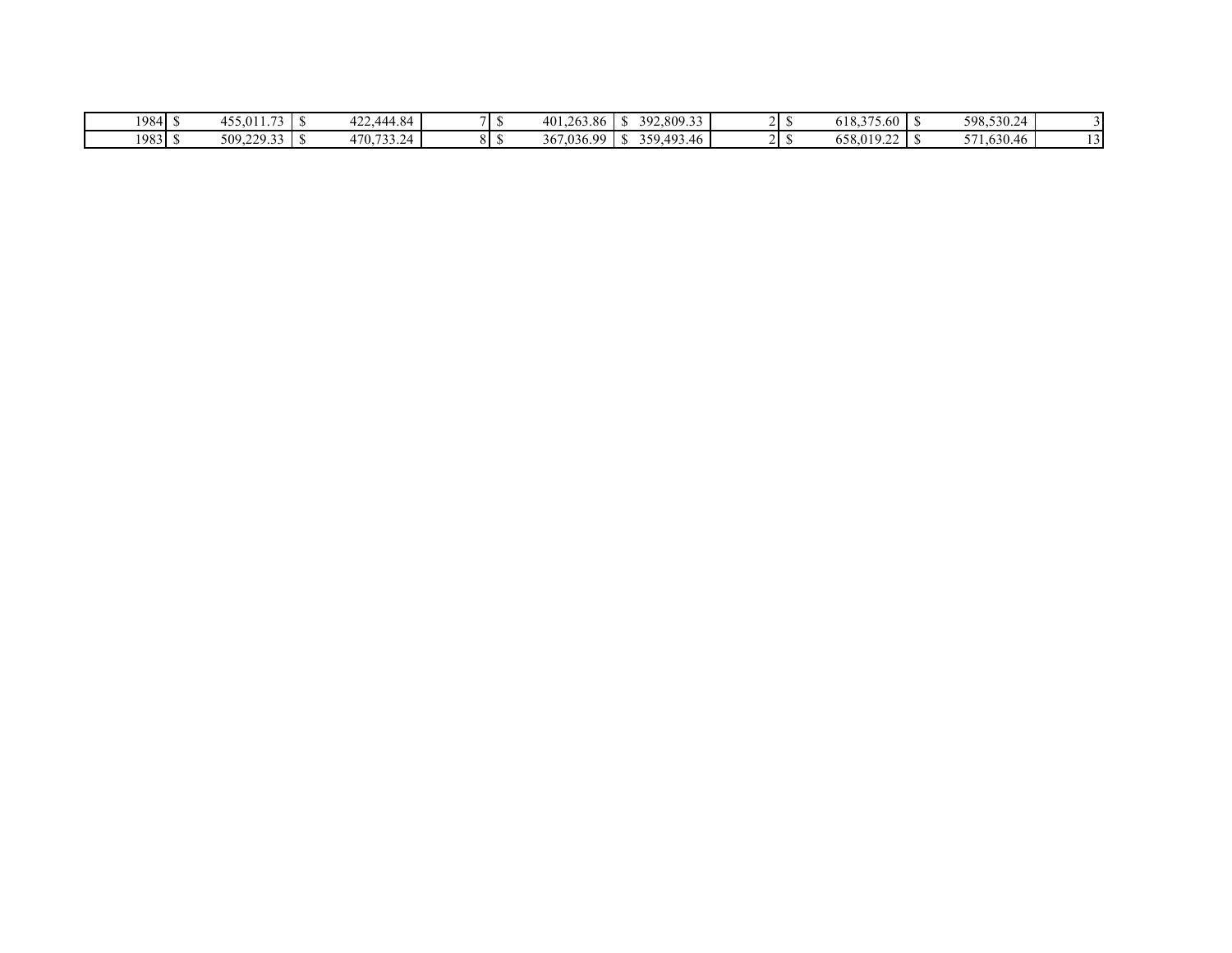| 1984 S    | $-1$<br>- 5.011د،<br>.  | 444.84,<br>$\sim$<br>┱∠∠、 |          | 401.263.86      | $\mathbf{A}$<br>. | 392,809.33 |  | 277<br>$-10$<br>5.60<br>018.3 | . | 598,530.24<br><u>⁄</u> क             |  |
|-----------|-------------------------|---------------------------|----------|-----------------|-------------------|------------|--|-------------------------------|---|--------------------------------------|--|
| $1983$ \$ | 22022<br>509.22<br>ر. ب | 470,733.24<br>ے کی اب     | ິ<br>∩ ⊓ | .036.99<br>367. | $\mathbf{r}$<br>. | 359,493.46 |  | $\sim$<br>658,019.<br>.       |   | 71,630.46<br>$F \nightharpoondown 1$ |  |